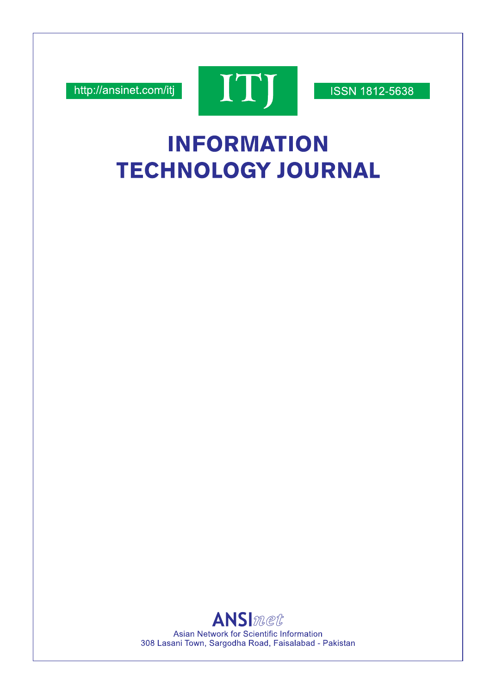http://ansinet.com/itj



**ISSN 1812-5638** 

# **INFORMATION TECHNOLOGY JOURNAL**

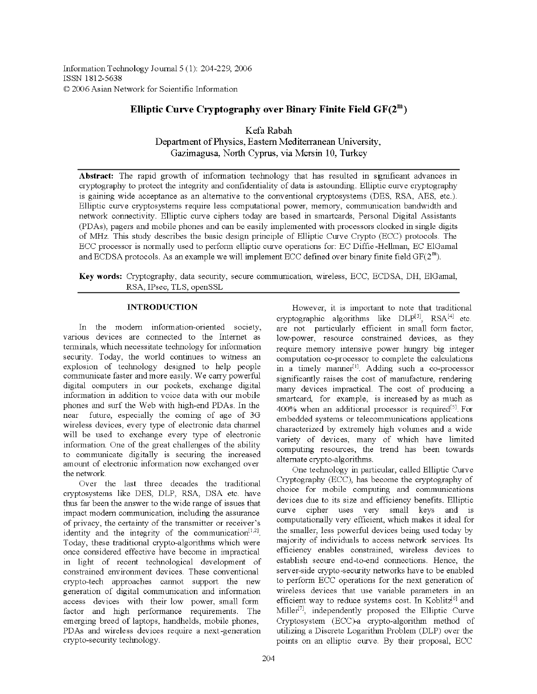Information Technology Journal 5 (1): 204-229, 2006 ISSN 1812-5638 © 2006 Asian Network for Scientific Information

## Elliptic Curve Cryptography over Binary Finite Field  $GF(2^m)$

Kefa Rabah Department of Physics, Eastern Mediterranean University, Gazimagusa, North Cyprus, via Mersin 10, Turkey

Abstract: The rapid growth of information technology that has resulted in significant advances in cryptography to protect the integrity and confidentiality of data is astounding. Elliptic curve cryptography is gaining wide acceptance as an alternative to the conventional cryptosystems (DES, RSA, AES, etc.). Elliptic curve cryptosystems require less computational power, memory, communication bandwidth and network connectivity. Elliptic curve ciphers today are based in smartcards, Personal Digital Assistants (PDAs), pagers and mobile phones and can be easily implemented with processors clocked in single digits of MHz. This study describes the basic design principle of Elliptic Curve Crypto (ECC) protocols. The ECC processor is normally used to perform elliptic curve operations for: EC Diffie-Hellman, EC ElGamal and ECDSA protocols. As an example we will implement ECC defined over binary finite field  $GF(2^m)$ .

Key words: Cryptography, data security, secure communication, wireless, ECC, ECDSA, DH, ElGamal, RSA, IPsec, TLS, openSSL

## **INTRODUCTION**

In the modern information-oriented society, various devices are connected to the Internet as terminals, which necessitate technology for information security. Today, the world continues to witness an explosion of technology designed to help people communicate faster and more easily. We carry powerful digital computers in our pockets, exchange digital information in addition to voice data with our mobile phones and surf the Web with high-end PDAs. In the near future, especially the coming of age of 3G wireless devices, every type of electronic data channel will be used to exchange every type of electronic information. One of the great challenges of the ability to communicate digitally is securing the increased amount of electronic information now exchanged over the network.

Over the last three decades the traditional cryptosystems like DES, DLP, RSA, DSA etc. have thus far been the answer to the wide range of issues that impact modern communication, including the assurance of privacy, the certainty of the transmitter or receiver's identity and the integrity of the communication<sup>[1,2]</sup>. Today, these traditional crypto-algorithms which were once considered effective have become in impractical in light of recent technological development of constrained environment devices. These conventional crypto-tech approaches cannot support the new generation of digital communication and information access devices with their low power, small form factor and high performance requirements. The emerging breed of laptops, handhelds, mobile phones, PDAs and wireless devices require a next-generation crypto-security technology.

However, it is important to note that traditional cryptographic algorithms like  $DLP^{[3]}$ ,  $RSA^{[4]}$  etc. are not particularly efficient in small form factor, low-power, resource constrained devices, as they require memory intensive power hungry big integer computation co-processor to complete the calculations in a timely manner<sup>[1]</sup>. Adding such a co-processor significantly raises the cost of manufacture, rendering many devices impractical. The cost of producing a smartcard, for example, is increased by as much as 400% when an additional processor is required<sup>[5]</sup>. For embedded systems or telecommunications applications characterized by extremely high volumes and a wide variety of devices, many of which have limited computing resources, the trend has been towards alternate crypto-algorithms.

One technology in particular, called Elliptic Curve Cryptography (ECC), has become the cryptography of choice for mobile computing and communications devices due to its size and efficiency benefits. Elliptic curve cipher uses very small keys and is computationally very efficient, which makes it ideal for the smaller, less powerful devices being used today by majority of individuals to access network services. Its efficiency enables constrained, wireless devices to establish secure end-to-end connections. Hence, the server-side crypto-security networks have to be enabled to perform ECC operations for the next generation of wireless devices that use variable parameters in an efficient way to reduce systems cost. In Koblitz<sup>6]</sup> and Miller<sup>[7]</sup>, independently proposed the Elliptic Curve Cryptosystem (ECC)-a crypto-algorithm method of utilizing a Discrete Logarithm Problem (DLP) over the points on an elliptic curve. By their proposal, ECC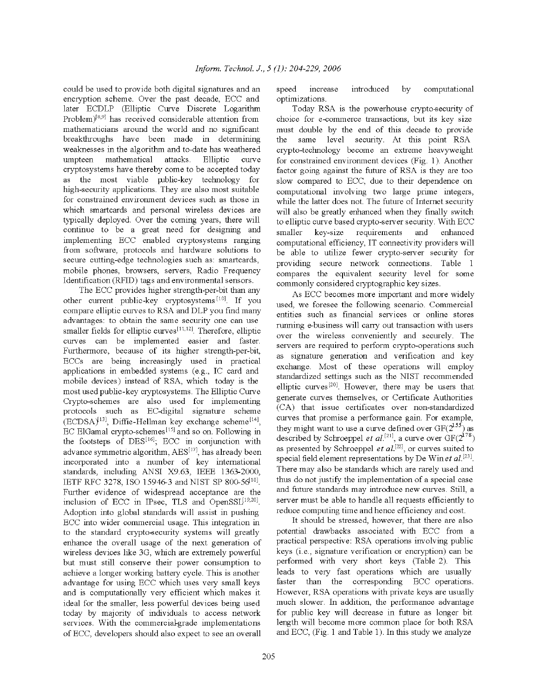could be used to provide both digital signatures and an encryption scheme. Over the past decade, ECC and later ECDLP (Elliptic Curve Discrete Logarithm Problem)<sup>[8,9]</sup> has received considerable attention from mathematicians around the world and no significant breakthroughs have been made in determining weaknesses in the algorithm and to-date has weathered mathematical umpteen attacks. Elliptic curve cryptosystems have thereby come to be accepted today as the most viable public-key technology for high-security applications. They are also most suitable for constrained environment devices such as those in which smartcards and personal wireless devices are typically deployed. Over the coming years, there will continue to be a great need for designing and implementing ECC enabled cryptosystems ranging from software, protocols and hardware solutions to secure cutting-edge technologies such as: smartcards, mobile phones, browsers, servers, Radio Frequency Identification (RFID) tags and environmental sensors.

The ECC provides higher strength-per-bit than any other current public-key cryptosystems<sup>[10]</sup>. If you compare elliptic curves to RSA and DLP you find many advantages: to obtain the same security one can use smaller fields for elliptic curves<sup>[11,12]</sup>. Therefore, elliptic curves can be implemented easier and faster. Furthermore, because of its higher strength-per-bit, ECCs are being increasingly used in practical applications in embedded systems (e.g., IC card and mobile devices) instead of RSA, which today is the most used public-key cryptosystems. The Elliptic Curve Crypto-schemes are also used for implementing protocols such as EC-digital signature scheme  $\text{ (ECDSA)}^{[13]}$ . Diffie-Hellman key exchange scheme<sup>[14]</sup>. EC ElGamal crypto-schemes<sup>[15]</sup> and so on. Following in the footsteps of DES<sup>[16]</sup>; ECC in conjunction with advance symmetric algorithm, AES<sup>[17]</sup>, has already been incorporated into a number of key international standards, including ANSI X9.63, IEEE 1363-2000, IETF RFC 3278, ISO 15946-3 and NIST SP 800-56<sup>18]</sup>. Further evidence of widespread acceptance are the inclusion of ECC in IPsec, TLS and OpenSSL[19,20]. Adoption into global standards will assist in pushing ECC into wider commercial usage. This integration in to the standard crypto-security systems will greatly enhance the overall usage of the next generation of wireless devices like 3G, which are extremely powerful but must still conserve their power consumption to achieve a longer working battery cycle. This is another advantage for using ECC which uses very small keys and is computationally very efficient which makes it ideal for the smaller, less powerful devices being used today by majority of individuals to access network services. With the commercial-grade implementations of ECC, developers should also expect to see an overall

increase introduced by computational speed optimizations.

Today RSA is the powerhouse crypto-security of choice for e-commerce transactions, but its key size must double by the end of this decade to provide same level security. At this point RSA the crypto-technology become an extreme heavyweight for constrained environment devices (Fig. 1). Another factor going against the future of RSA is they are too slow compared to ECC, due to their dependence on computational involving two large prime integers, while the latter does not. The future of Internet security will also be greatly enhanced when they finally switch to elliptic curve based crypto-server security. With ECC smaller key-size requirements and enhanced computational efficiency, IT connectivity providers will be able to utilize fewer crypto-server security for providing secure network connections. Table 1 compares the equivalent security level for some commonly considered cryptographic key sizes.

As ECC becomes more important and more widely used, we foresee the following scenario. Commercial entities such as financial services or online stores running e-business will carry out transaction with users over the wireless conveniently and securely. The servers are required to perform crypto-operations such as signature generation and verification and key exchange. Most of these operations will employ standardized settings such as the NIST recommended elliptic curves<sup>[20]</sup>. However, there may be users that generate curves themselves, or Certificate Authorities (CA) that issue certificates over non-standardized curves that promise a performance gain. For example, they might want to use a curve defined over  $GF(2^{155})$  as described by Schroeppel et al.<sup>[21]</sup>, a curve over  $GF(2^{178})$ as presented by Schroeppel *et al.*<sup>[22]</sup>, or curves suited to special field element representations by De Win et  $al$ <sup>[23]</sup>. There may also be standards which are rarely used and thus do not justify the implementation of a special case and future standards may introduce new curves. Still, a server must be able to handle all requests efficiently to reduce computing time and hence efficiency and cost.

It should be stressed, however, that there are also potential drawbacks associated with ECC from a practical perspective: RSA operations involving public keys (*i.e.*, signature verification or encryption) can be performed with very short keys (Table 2). This leads to very fast operations which are usually faster than the corresponding ECC operations. However, RSA operations with private keys are usually much slower. In addition, the performance advantage for public key will decrease in future as longer bit length will become more common place for both RSA and ECC, (Fig. 1 and Table 1). In this study we analyze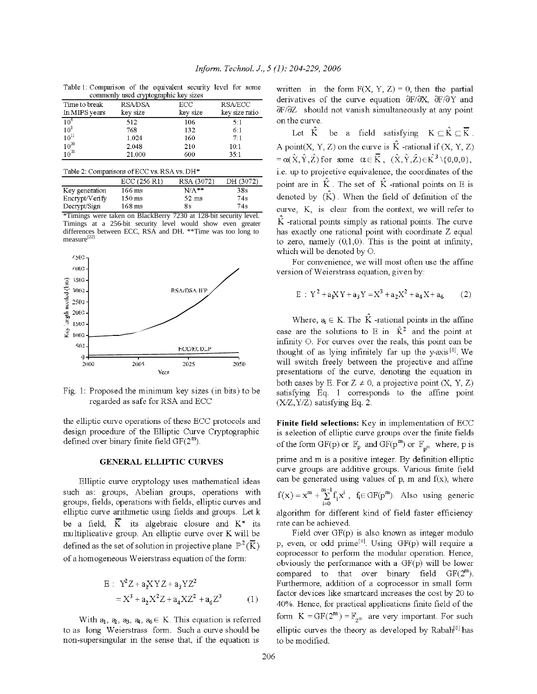| сопштотну used стургодтарные кеу sizes |                |          |                |  |  |  |  |
|----------------------------------------|----------------|----------|----------------|--|--|--|--|
| Time to break                          | <b>RSA/DSA</b> | ECC      | <b>RSA/ECC</b> |  |  |  |  |
| In MIPS years                          | key size       | key size | key size ratio |  |  |  |  |
| 10 <sup>4</sup>                        | 512            | 106      | 51             |  |  |  |  |
| $10^8$                                 | 768            | 132      | 6:1            |  |  |  |  |
| $10^{11}$                              | 1.024          | 160      | 7:1            |  |  |  |  |
| $10^{20}$                              | 2.048          | 210      | 10:1           |  |  |  |  |
| $10^{78}$                              | 21.000         | 600      | 35.1           |  |  |  |  |

Table 1: Comparison of the equivalent security level for some

| Table 2: Comparisons of ECC vs. RSA vs. DH <sup>*</sup> |                     |                 |           |  |  |  |  |
|---------------------------------------------------------|---------------------|-----------------|-----------|--|--|--|--|
|                                                         | ECC(256 R1)         | RSA (3072)      | DH (3072) |  |  |  |  |
| Key generation                                          | 166 ms              | $N/A$ **        | 38s       |  |  |  |  |
| Encrypt/Verify                                          | $150 \,\rm ms$      | $52 \text{ ms}$ | 74s       |  |  |  |  |
| Decrypt/Sign                                            | $168 \,\mathrm{ms}$ | 8s              | 74s       |  |  |  |  |

\*Timings were taken on BlackBerry 7230 at 128-bit security level. Timings at a 256-bit security level would show even greater differences between ECC, RSA and DH. \*\* Time was too long to measure<sup>[22]</sup>



Fig. 1: Proposed the minimum key sizes (in bits) to be regarded as safe for RSA and ECC

the elliptic curve operations of these ECC protocols and design procedure of the Elliptic Curve Cryptographic defined over binary finite field  $GF(2^m)$ .

#### **GENERAL ELLIPTIC CURVES**

Elliptic curve cryptology uses mathematical ideas such as: groups, Abelian groups, operations with groups, fields, operations with fields, elliptic curves and elliptic curve arithmetic using fields and groups. Let k be a field,  $\overline{K}$  its algebraic closure and  $K^*$  its multiplicative group. An elliptic curve over K will be defined as the set of solution in projective plane  $\mathbb{P}^2(\overline{K})$ of a homogeneous Weierstrass equation of the form:

$$
E: Y^{2}Z + a_{1}XYZ + a_{3}YZ^{2}
$$
  
=  $X^{3} + a_{2}X^{2}Z + a_{4}XZ^{2} + a_{6}Z^{3}$  (1)

With  $a_1, a_2, a_3, a_4, a_6 \in K$ . This equation is referred to as long Weierstrass form. Such a curve should be non-supersingular in the sense that, if the equation is

written in the form  $F(X, Y, Z) = 0$ , then the partial derivatives of the curve equation  $\frac{\partial F}{\partial X}$ ,  $\frac{\partial F}{\partial Y}$  and dF/dZ should not vanish simultaneously at any point on the curve.

Let  $\hat{K}$ be a field satisfying  $K \subseteq \hat{K} \subseteq \overline{K}$ . A point(X, Y, Z) on the curve is  $\hat{K}$ -rational if (X, Y, Z)  $=\alpha(\hat{X}, \hat{Y}, \hat{Z})$  for some  $\alpha \in \overline{K}$ ,  $(\hat{X}, \hat{Y}, \hat{Z}) \in K^3 \setminus \{0, 0, 0\}$ , i.e. up to projective equivalence, the coordinates of the point are in  $\hat{K}$ . The set of  $\hat{K}$ -rational points on E is denoted by  $(\hat{K})$ . When the field of definition of the curve, K, is clear from the context, we will refer to  $\hat{K}$  -rational points simply as rational points. The curve has exactly one rational point with coordinate Z equal to zero, namely  $(0,1,0)$ . This is the point at infinity, which will be denoted by O.

For convenience, we will most often use the affine version of Weierstrass equation, given by:

$$
E : Y^2 + a_1XY + a_3Y = X^3 + a_2X^2 + a_4X + a_6 \qquad (2)
$$

Where,  $a_i \in K$ . The  $\hat{K}$  -rational points in the affine case are the solutions to E in  $\hat{K}^2$  and the point at infinity O. For curves over the reals, this point can be thought of as lying infinitely far up the y-axis<sup>[8]</sup>. We will switch freely between the projective and affine presentations of the curve, denoting the equation in both cases by E. For  $Z \neq 0$ , a projective point  $(X, Y, Z)$ satisfying Eq. 1 corresponds to the affine point  $(X/Z, Y/Z)$  satisfying Eq. 2.

Finite field selections: Key in implementation of ECC is selection of elliptic curve groups over the finite fields of the form GF(p) or  $\mathbb{F}_p$  and GF(p<sup>m</sup>) or  $\mathbb{F}_{p^m}$  where, p is prime and m is a positive integer. By definition elliptic curve groups are additive groups. Various finite field can be generated using values of  $p$ ,  $m$  and  $f(x)$ , where  $f(x) = x^m + \sum_{i=0}^{m-1} f_i x^i$ ,  $f_i \in GF(p^m)$ . Also using generic algorithm for different kind of field faster efficiency rate can be achieved.

Field over  $GF(p)$  is also known as integer modulo p, even, or odd prime<sup>[8]</sup>. Using  $GF(p)$  will require a coprocessor to perform the modular operation. Hence, obviously the performance with a GF(p) will be lower compared to that over binary field  $GF(2^m)$ . Furthermore, addition of a coprocessor in small form factor devices like smartcard increases the cost by 20 to 40%. Hence, for practical applications finite field of the form  $K = GF(2^m) = \mathbb{F}_{2^m}$  are very important. For such elliptic curves the theory as developed by Rabah<sup>[8]</sup> has to be modified.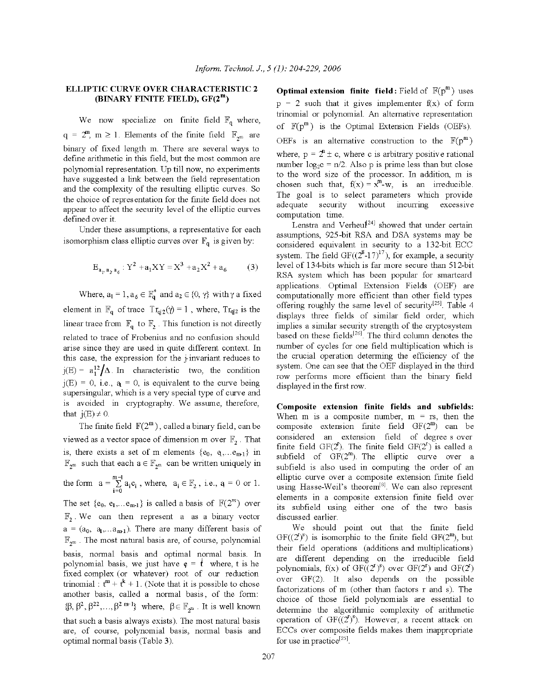## ELLIPTIC CURVE OVER CHARACTERISTIC 2 (BINARY FINITE FIELD),  $GF(2^m)$

We now specialize on finite field  $\mathbb{F}_q$  where,  $q = 2^m$ ,  $m \ge 1$ . Elements of the finite field  $\mathbb{F}_{2^m}$  are binary of fixed length m. There are several ways to define arithmetic in this field, but the most common are polynomial representation. Up till now, no experiments have suggested a link between the field representation and the complexity of the resulting elliptic curves. So the choice of representation for the finite field does not appear to affect the security level of the elliptic curves defined over it.

Under these assumptions, a representative for each isomorphism class elliptic curves over  $\mathbb{F}_q$  is given by:

$$
E_{a_p a_2 a_6}: Y^2 + a_1 XY = X^3 + a_2 X^2 + a_6 \tag{3}
$$

Where,  $a_1 = 1$ ,  $a_6 \in \mathbb{F}_q^*$  and  $a_2 \in \{0, \gamma\}$  with  $\gamma$  a fixed element in  $\mathbb{F}_q$  of trace  $Tr_{q|2}(\gamma) = 1$ , where,  $Tr_{q|2}$  is the linear trace from  $\mathbb{F}_q$  to  $\mathbb{F}_q$ . This function is not directly related to trace of Frobenius and no confusion should arise since they are used in quite different context. In this case, the expression for the *Finvariant* reduces to  $j(E) = a_1^{12}/\Delta$ . In characteristic two, the condition  $j(E) = 0$ , i.e.,  $q_1 = 0$ , is equivalent to the curve being supersingular, which is a very special type of curve and is avoided in cryptography. We assume, therefore, that  $j(E) \neq 0$ .

The finite field  $\mathbb{F}(2^m)$ , called a binary field, can be viewed as a vector space of dimension m over  $\mathbb{F}_2$ . That is, there exists a set of m elements  $\{e_0, q, \ldots e_{m1}\}\$  in  $\mathbb{F}_{2^m}$  such that each  $a \in \mathbb{F}_{2^m}$  can be written uniquely in the form  $a = \sum_{i=0}^{m-1} a_i e_i$ , where,  $a_i \in \mathbb{F}_2$ , i.e.,  $a = 0$  or 1. The set  $\{e_0, e_1, \ldots e_{m-1}\}\$ is called a basis of  $\mathbb{F}(2^m)$  over  $\mathbb{F}_2$ . We can then represent a as a binary vector  $a = (a_0, a_1,... a_{m1})$ . There are many different basis of  $\mathbb{F}_{2^m}$  . The most natural basis are, of course, polynomial basis, normal basis and optimal normal basis. In polynomial basis, we just have  $\phi = \dot{t}$  where, t is he fixed complex (or whatever) root of our reduction trinomial :  $t^m + t^k + 1$ . (Note that it is possible to chose another basis, called a normal basis, of the form:  $\{\beta,\,\beta^2,\,\beta^{22},\ldots,\beta^{2\ m-1}\} \ \ \text{where,}\ \ \beta\in\mathbb{F}_{2^m}\ . \ \text{It is well known}$ that such a basis always exists). The most natural basis are, of course, polynomial basis, normal basis and optimal normal basis (Table 3).

**Optimal extension finite field:** Field of  $\mathbb{F}(p^m)$  uses  $p = 2$  such that it gives implementer  $f(x)$  of form trinomial or polynomial. An alternative representation of  $\mathbb{F}(p^m)$  is the Optimal Extension Fields (OEFs). OEFs is an alternative construction to the  $\mathbb{F}(p^m)$ where,  $p = 2^n \pm c$ , where c is arbitrary positive rational number  $log_2 c = n/2$ . Also p is prime less than but close to the word size of the processor. In addition, m is chosen such that,  $f(x) = x^m - w$ , is an irreducible. The goal is to select parameters which provide security without incurring excessive adequate computation time.

Lenstra and Verheul<sup>[24]</sup> showed that under certain assumptions, 925-bit RSA and DSA systems may be considered equivalent in security to a 132-bit ECC system. The field  $GF((2^8-17)^{17})$ , for example, a security level of 134-bits which is far more secure than 512-bit RSA system which has been popular for smartcard applications. Optimal Extension Fields (OEF) are computationally more efficient than other field types offering roughly the same level of security<sup>[25]</sup>. Table 4 displays three fields of similar field order, which implies a similar security strength of the cryptosystem based on these fields<sup>[26]</sup>. The third column denotes the number of cycles for one field multiplication which is the crucial operation determing the efficiency of the system. One can see that the OEF displayed in the third row performs more efficient than the binary field displayed in the first row.

Composite extension finite fields and subfields: When m is a composite number,  $m = rs$ , then the composite extension finite field  $GF(2^m)$  can be considered an extension field of degree s over finite field  $GF(2^r)$ . The finite field  $GF(2^r)$  is called a subfield of  $GF(2^m)$ . The elliptic curve over a subfield is also used in computing the order of an elliptic curve over a composite extension finite field using Hasse-Weil's theorem<sup>[8]</sup>. We can also represent elements in a composite extension finite field over its subfield using either one of the two basis discussed earlier.

We should point out that the finite field  $GF((2^{\mathbb{N}}))$  is isomorphic to the finite field  $GF(2^{\mathbb{m}})$ , but their field operations (additions and multiplications) are different depending on the irreducible field polynomials,  $f(x)$  of  $GF((2^r)^s)$  over  $GF(2^r)$  and  $GF(2^r)$ over GF(2). It also depends on the possible factorizations of m (other than factors r and s). The choice of those field polynomials are essential to determine the algorithmic complexity of arithmetic operation of  $GF((2)^s)$ . However, a recent attack on ECCs over composite fields makes them inappropriate for use in practice<sup>[25]</sup>.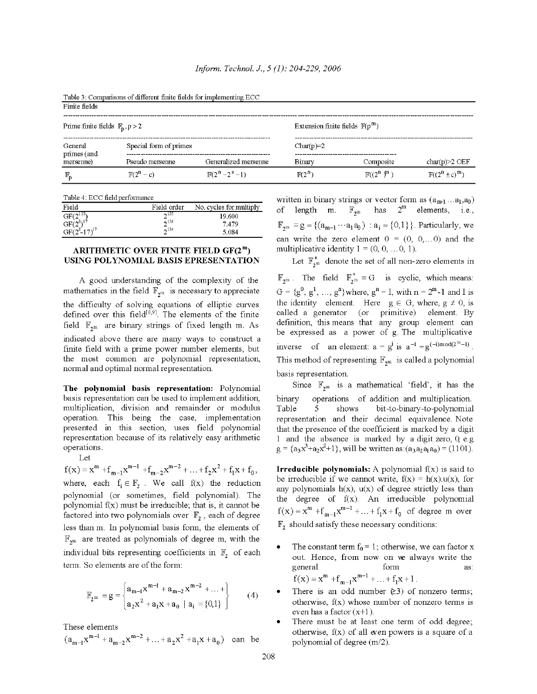Table 3: Comparisons of different finite fields for implementing ECC

| г пис петоз                                  |                        |                         |                                           |                       |                             |
|----------------------------------------------|------------------------|-------------------------|-------------------------------------------|-----------------------|-----------------------------|
| Prime finite fields $\mathbb{F}_{p}$ , p > 2 |                        |                         | Extension finite fields $\mathbb{F}(p^m)$ |                       |                             |
| General<br>primes (and                       | Special form of primes |                         | $Char(p)=2$                               |                       |                             |
| mersenne)                                    | Pseudo mersenne        | Generalized mersenne    | Binary                                    | Composite             | $char(p) > 2$ OEF           |
| $\mathbb{F}_{\mathbf{p}}$                    | $\mathbb{F}(2^n-c)$    | $\mathbb{F}(2^n-2^s-1)$ | $\mathbb{F}(2^n)$                         | $\mathbb{F}((2^n)^m)$ | $\mathbb{F}((2^n \pm c)^m)$ |

Table 4: ECC field performance

| Field                                                                                              | Field order | No. cycles for multiply |
|----------------------------------------------------------------------------------------------------|-------------|-------------------------|
| GF(2 <sup>135</sup> )<br>GF(2 <sup>8</sup> ) <sup>17</sup><br>GF(2 <sup>8</sup> -17) <sup>17</sup> | $-135$      | 19.600                  |
|                                                                                                    | $-136$      | 7.479                   |
|                                                                                                    | $-134$      | 5.084                   |

#### ARITHMETIC OVER FINITE FIELD  $GF(2^m)$ USING POLYNOMIAL BASIS EPRESENTATION

A good understanding of the complexity of the mathematics in the field  $\mathbb{F}_{2^m}$  is necessary to appreciate the difficulty of solving equations of elliptic curves defined over this field<sup>[8,9]</sup>. The elements of the finite field  $\mathbb{F}_{2^m}$  are binary strings of fixed length m. As indicated above there are many ways to construct a finite field with a prime power number elements, but the most common are polynomial representation. normal and optimal normal representation.

The polynomial basis representation: Polynomial basis representation can be used to implement addition, multiplication, division and remainder or modulus operation. This being the case, implementation presented in this section, uses field polynomial representation because of its relatively easy arithmetic operations.

Let

 $f(x) = x^{m} + f_{m-1}x^{m-1} + f_{m-2}x^{m-2} + ... + f_{2}x^{2} + f_{1}x + f_{0}$ where, each  $f_i \in \mathbb{F}$ , We call  $f(x)$  the reduction polynomial (or sometimes, field polynomial). The polynomial  $f(x)$  must be irreducible, that is, it cannot be factored into two polynomials over  $\mathbb{F}_2$ , each of degree less than m. In polynomial basis form, the elements of  $\mathbb{F}_{2^m}$  are treated as polynomials of degree m, with the individual bits representing coefficients in  $\mathbb{F}_2$  of each term. So elements are of the form:

$$
\mathbb{F}_{2^m} = g = \begin{cases} a_{m-1}x^{m-1} + a_{m-2}x^{m-2} + \dots + \\ a_2x^2 + a_1x + a_0 \mid a_i = \{0,1\} \end{cases}
$$
 (4)

These elements

 $(a_{m-1}x^{m-1} + a_{m-2}x^{m-2} + ... + a_2x^2 + a_1x + a_0)$  can be

written in binary strings or vector form as  $(a_{m-1}...a_1,a_0)$ of length m.  $\mathbb{F}_{2^m}$  has  $2^m$  elements, i.e.,  $\mathbb{F}_{2^m} \equiv g = \{ (a_{m-1} \cdots a_1 a_0) : a_i = \{0,1\} \}.$  Particularly, we can write the zero element  $0 = (0, 0, \dots, 0)$  and the multiplicative identity  $1 = (0, 0, \dots 0, 1)$ .

Let  $\mathbb{F}_{2^m}^*$  denote the set of all non-zero elements in  $\mathbb{F}_{2^m}$ . The field  $\mathbb{F}_{2^m}^* \equiv G$  is cyclic, which means:  $G = \{g^0, g^1, ..., g^n\}$  where,  $g^n = I$ , with  $n = 2^m - 1$  and I is the identity element. Here  $g \in G$ , where,  $g \neq 0$ , is called a generator (or primitive) element. By definition, this means that any group element can be expressed as a power of g. The multiplicative inverse of an element:  $a = g^i$  is  $a^{-1} = g^{(-i)mod(2^m-1)}$ . This method of representing  $\mathbb{F}_{2^m}$  is called a polynomial basis representation.

Since  $\mathbb{F}_{2^m}$  is a mathematical 'field', it has the binary operations of addition and multiplication. Table  $\varsigma$ shows bit-to-binary-to-polynomial representation and their decimal equivalence. Note that the presence of the coefficient is marked by a digit 1 and the absence is marked by a digit zero, 0, e.g  $g = {a_3x^3 + a_2x^2 + 1}$ , will be written as:  $(a_3a_2a_1a_0) = (1101)$ .

**Irreducible polynomials:** A polynomial  $f(x)$  is said to be irreducible if we cannot write,  $f(x) = h(x) u(x)$ , for any polynomials  $h(x)$ ,  $u(x)$  of degree strictly less than the degree of f(x). An irreducible polynomial  $f(x) = x^{m} + f_{m-1}x^{m-1} + ... + f_1x + f_0$  of degree m over  $\mathbb{F}_2$  should satisfy these necessary conditions:

- The constant term  $f_0 = 1$ ; otherwise, we can factor x out. Hence, from now on we always write the general form as:  $f(x) = x^{m} + f_{m-1}x^{m-1} + ... + f_1x + 1$ .
- There is an odd number  $(23)$  of nonzero terms; otherwise,  $f(x)$  whose number of nonzero terms is even has a factor  $(x+1)$ .
- There must be at least one term of odd degree; otherwise,  $f(x)$  of all even powers is a square of a polynomial of degree (m/2).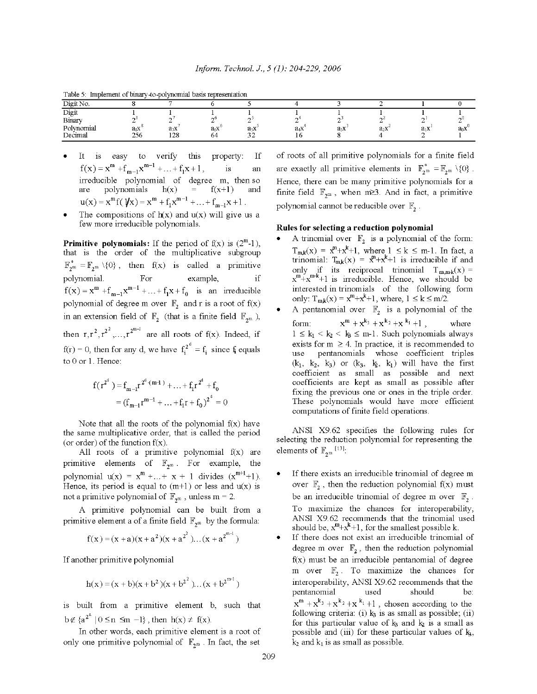| Dirian     |     |                  |                  |                  |        |     |        |        |        |
|------------|-----|------------------|------------------|------------------|--------|-----|--------|--------|--------|
| Digit      |     |                  |                  |                  |        |     |        |        |        |
| Binary     |     |                  |                  |                  |        |     |        |        | . .    |
| Polynomial | asx | a <sub>7</sub> x | a <sub>6</sub> X | a <sub>5</sub> x | $a_4x$ | a3X | $a_2x$ | $a_1x$ | $d_0X$ |
| Decimal    | 256 | 128              | 64               |                  |        |     |        |        |        |

Table 5: Implement of binary to polynomial basis representation

- It is easy to verify this property: Ιf  $f(x) = x^m + f_{m-1}x^{m-1} + ... + f_1x + 1$ ,  $\overline{18}$ an irreducible polynomial of degree m, then so polynomials  $h(x) = f(x+1)$ are and  $u(x) = x^m f(\psi x) = x^m + f_1 x^{m-1} + ... + f_{m-1} x + 1$ .
- The compositions of  $h(x)$  and  $u(x)$  will give us a few more irreducible polynomials.

**Primitive polynomials:** If the period of  $f(x)$  is  $(2^m-1)$ , that is the order of the multiplicative subgroup  $\mathbb{F}_{2^m}^* = \mathbb{F}_{2^m} \setminus \{0\}$ , then  $f(x)$  is called a primitive polynomial. For example,  $if$  $f(x) = x^{m} + f_{m-1}x^{m-1} + ... + f_1x + f_0$  is an irreducible polynomial of degree m over  $\mathbb{F}_2$  and r is a root of  $f(x)$ in an extension field of  $\mathbb{F}_2$  (that is a finite field  $\mathbb{F}_{2^m}$ ), then  $r, r^2, r^{2^2}, \ldots, r^{2^{m-1}}$  are all roots of  $f(x)$ . Indeed, if  $f(r) = 0$ , then for any d, we have  $f_i^{2^d} = f_i$  since f equals to 0 or 1. Hence:

$$
f(r^{2^d}) = f_{m-1}r^{2^d \cdot (m+1)} + \dots + f_1r^{2^d} + f_0
$$
  
=  $(f_{m-1}r^{m-1} + \dots + f_1r + f_0)^{2^d} = 0$ 

Note that all the roots of the polynomial  $f(x)$  have the same multiplicative order, that is called the period (or order) of the function  $f(x)$ .

All roots of a primitive polynomial  $f(x)$  are primitive elements of  $\mathbb{F}_{2^m}$ . For example, the polynomial  $u(x) = x^{m} + ... + x + 1$  divides  $(x^{m+1}+1)$ . Hence, its period is equal to  $(m+1)$  or less and  $u(x)$  is not a primitive polynomial of  $\mathbb{F}_{2^m}$ , unless m = 2.

A primitive polynomial can be built from a primitive element a of a finite field  $\mathbb{F}_{2^m}$  by the formula:

$$
f(x)=(x+a)(x+a^2)(x+a^{2^2}\ldots (x+a^{2^{m-1}})
$$

If another primitive polynomial

$$
h(x) = (x + b)(x + b2)(x + b22)...(x + b2m-1)
$$

is built from a primitive element b, such that  $b \notin {a^{2^n} \mid 0 \le n \le m -1}$ , then  $h(x) \ne f(x)$ .

In other words, each primitive element is a root of only one primitive polynomial of  $\mathbb{F}_{2^m}$ . In fact, the set

of roots of all primitive polynomials for a finite field are exactly all primitive elements in  $\mathbb{F}_{2^m}^* = \mathbb{F}_{2^m} \setminus \{0\}$ . Hence, there can be many primitive polynomials for a finite field  $\mathbb{F}_{2^m}$ , when m $\geq 3$ . And in fact, a primitive polynomial cannot be reducible over  $\mathbb{F}_2$ .

#### Rules for selecting a reduction polynomial

- A trinomial over  $\mathbb{F}_2$  is a polynomial of the form:  $T_{m,k}(x) = x^m + x^k + 1$ , where  $1 \le k \le m-1$ . In fact, a trinomial:  $T_{m,k}(x) = x^m + x^k + 1$  is irreducible if and only if its reciprocal trinomial  $T_{m,mk}(x) = x^{m}+x^{m+k}+1$  is irreducible. Hence, we should be interested in trinomials of the following form only:  $T_{m,k}(x) = x^{m} + x^{k} + 1$ , where,  $1 \le k \le m/2$ .
- A pentanomial over  $\mathbb{F}_2$  is a polynomial of the  $x^{m} + x^{k_3} + x^{k_2} + x^{k_1} + 1$ , where form:  $1 \leq k_1 < k_2 < k_3 \leq m-1$ . Such polynomials always exists for  $m \geq 4$ . In practice, it is recommended to use pentanomials whose coefficient triples  $(k_1, k_2, k_3)$  or  $(k_3, k_1, k_1)$  will have the first coefficient as small as possible and next coefficients are kept as small as possible after fixing the previous one or ones in the triple order. These polynomials would have more efficient computations of finite field operations.

ANSI X9.62 specifies the following rules for selecting the reduction polynomial for representing the elements of  $\mathbb{F}_{2^m}$  [13].

- If there exists an irreducible trinomial of degree m over  $\mathbb{F}_2$ , then the reduction polynomial  $f(x)$  must be an irreducible trinomial of degree m over  $\mathbb{F}_2$ . To maximize the chances for interoperability, ANSI X9.62 recommends that the trinomial used should be,  $x^m + x^k + 1$ , for the smallest possible k.
- If there does not exist an irreducible trinomial of degree m over  $\mathbb{F}_2$ , then the reduction polynomial  $f(x)$  must be an irreducible pentanomial of degree m over  $\mathbb{F}_2$ . To maximize the chances for interoperability, ANSI X9.62 recommends that the pentanomial used should be:  $x^{m} + x^{k_3} + x^{k_2} + x^{k_1} + 1$ , chosen according to the following criteria: (i)  $k_3$  is as small as possible; (ii) for this particular value of  $k_3$  and  $k_2$  is a small as possible and (iii) for these particular values of kg,  $k_2$  and  $k_1$  is as small as possible.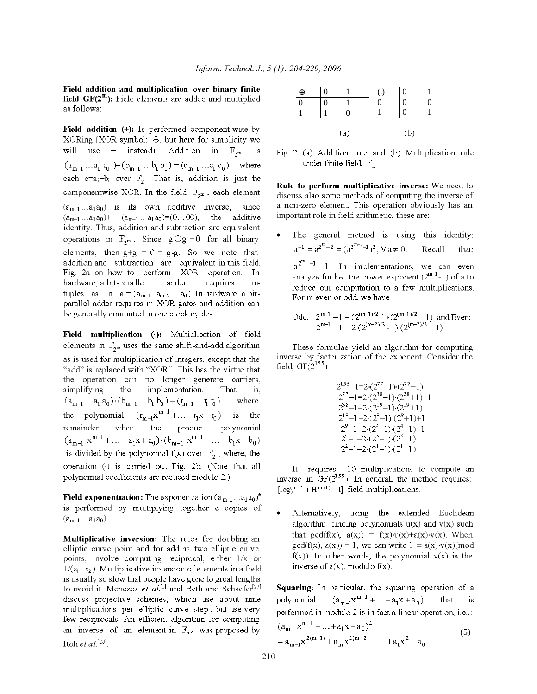Field addition and multiplication over binary finite field  $GF(2^m)$ : Field elements are added and multiplied as follows:

Field addition (+): Is performed component-wise by XORing (XOR symbol:  $\oplus$ , but here for simplicity we will use + instead). Addition in  $\mathbb{F}_{2^m}$ is  $(a_{m-1} \dots a_1 a_0) + (b_{m-1} \dots b_1 b_0) = (c_{m-1} \dots c_1 c_0)$  where each c=a<sub>i</sub>+b<sub>i</sub> over  $\mathbb{F}_2$ . That is, addition is just the componentwise XOR. In the field  $\mathbb{F}_{2^m}$ , each element  $(a_{m-1} \ldots a_1 a_0)$  is its own additive inverse, since  $(a_{m-1} \dots a_1 a_0)$  +  $(a_{m-1} \dots a_1 a_0)$  = (0... 00), the additive identity. Thus, addition and subtraction are equivalent operations in  $\mathbb{F}_{2^m}$ . Since  $g \oplus g = 0$  for all binary elements, then  $g+g = 0 = g-g$ . So we note that addition and subtraction are equivalent in this field, Fig. 2a on how to perform XOR operation. In hardware, a bit-parallel adder requires  $m$ tuples as in  $a = (a_{m-1}, a_{m-2}, \ldots, a_0)$ . In hardware, a bitparallel adder requires m XOR gates and addition can be generally computed in one clock cycles.

Field multiplication (.): Multiplication of field elements in  $\mathbb{F}_{2^m}$  uses the same shift-and-add algorithm as is used for multiplication of integers, except that the "add" is replaced with "XOR". This has the virtue that the operation can no longer generate carriers, simplifying the implementation. That is.  $(a_{m-1}\ldots a_1\, a_0)\cdot (b_{m-1}\ \ldots b_1\, b_0)=(r_{m-1}\ \ldots r_1\, r_0\,)$ where, the polynomial  $(r_{m-1}x^{m-1} + ... + r_1x + r_0)$  is the remainder when the product polynomial  $(a_{m-1} x^{m-1} + ... + a_1 x + a_0) \cdot (b_{m-1} x^{m-1} + ... + b_1 x + b_0)$ is divided by the polynomial  $f(x)$  over  $\mathbb{F}_2$ , where, the operation (.) is carried out Fig. 2b. (Note that all polynomial coefficients are reduced modulo 2.)

**Field exponentiation:** The exponentiation  $(a_{m-1} \dots a_1 a_0)^e$ is performed by multiplying together e copies of  $(a_{m-1}...a_1a_0).$ 

**Multiplicative inversion:** The rules for doubling an elliptic curve point and for adding two elliptic curve points, involve computing reciprocal, either 1/x or  $1/(x_1+x_2)$ . Multiplicative inversion of elements in a field is usually so slow that people have gone to great lengths to avoid it. Menezes et al.<sup>[5]</sup> and Beth and Schaefer<sup>[27]</sup> discuss projective schemes, which use about nine multiplications per elliptic curve step, but use very few reciprocals. An efficient algorithm for computing an inverse of an element in  $\mathbb{F}_{2^m}$  was proposed by Itoh et al.<sup>[28]</sup>.



Fig. 2: (a) Addition rule and (b) Multiplication rule under finite field,  $\mathbb{F}_2$ 

Rule to perform multiplicative inverse: We need to discuss also some methods of computing the inverse of a non-zero element. This operation obviously has an important role in field arithmetic, these are:

The general method is using this identity:  $a^{-1} = a^{2^m-2} = (a^{2^{m-1}-1})^2$   $\forall a \neq 0$ Recall that:  $a^{2^{m-1}-1} = 1$ . In implementations, we can even analyze further the power exponent  $(2^{m-1}-1)$  of a to reduce our computation to a few multiplications. For m even or odd, we have:

Odd: 
$$
2^{m-1} - 1 = (2^{(m-1)/2} - 1) \cdot (2^{(m-1)/2} + 1)
$$
 and Even:  
 $2^{m-1} - 1 = 2 \cdot (2^{(m-2)/2} - 1) \cdot (2^{(m-2)/2} + 1)$ 

These formulae yield an algorithm for computing inverse by factorization of the exponent. Consider the field,  $GF(2^{155})$ :

$$
2^{155}-1=2\cdot(2^{77}-1)\cdot(2^{77}+1)
$$
  
\n
$$
2^{77}-1=2\cdot(2^{38}-1)\cdot(2^{28}+1)+1
$$
  
\n
$$
2^{38}-1=2\cdot(2^{19}-1)\cdot(2^{19}+1)
$$
  
\n
$$
2^{19}-1=2\cdot(2^{9}-1)\cdot(2^{9}+1)+1
$$
  
\n
$$
2^{9}-1=2\cdot(2^{4}-1)\cdot(2^{4}+1)+1
$$
  
\n
$$
2^{4}-1=2\cdot(2^{2}-1)\cdot(2^{2}+1)
$$
  
\n
$$
2^{2}-1=2\cdot(2^{1}-1)\cdot(2^{1}+1)
$$

It requires 10 multiplications to compute an inverse in  $GF(2^{155})$ . In general, the method requires:  $[\log_2^{(m-1)} + H^{(m-1)} - 1]$  field multiplications.

Alternatively, using the extended Euclidean algorithm: finding polynomials  $u(x)$  and  $v(x)$  such that  $gcd(f(x), a(x)) = f(x) \cdot u(x) + a(x) \cdot v(x)$ . When  $gcd(f(x), a(x)) = 1$ , we can write  $1 \equiv a(x) \cdot v(x) \pmod{1}$  $f(x)$ ). In other words, the polynomial  $v(x)$  is the inverse of  $a(x)$ , modulo  $f(x)$ .

Squaring: In particular, the squaring operation of a  $(a_{m-1}x^{m-1} + ... + a_1x + a_n)$ polynomial that is performed in modulo 2 is in fact a linear operation, i.e.,:  $m-1$  $\sqrt{2}$ 

$$
(a_{m-1}x^{2(m-1)} + ... + a_1x + a_0)
$$
  
=  $a_{m-1}x^{2(m-1)} + a_mx^{2(m-2)} + ... + a_1x^2 + a_0$  (5)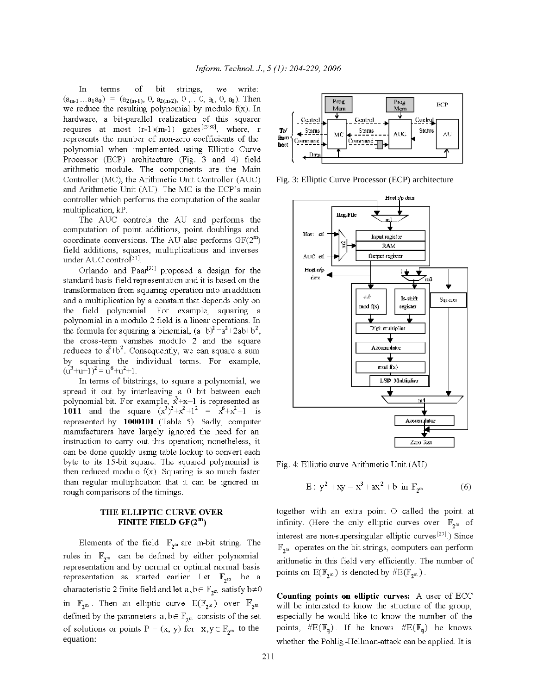terms bit strings, we write: In οf  $(a_{m1} \dots a_1 a_0) = (a_{2(m-1)}, 0, a_{2(m-2)}, 0, \dots 0, a_1, 0, a_0)$ . Then we reduce the resulting polynomial by modulo  $f(x)$ . In hardware, a bit-parallel realization of this squarer requires at most  $(r-1)(m-1)$  gates<sup>[29,30]</sup>, where, r represents the number of non-zero coefficients of the polynomial when implemented using Elliptic Curve Processor (ECP) architecture (Fig. 3 and 4) field arithmetic module. The components are the Main Controller (MC), the Arithmetic Unit Controller (AUC) and Arithmetic Unit (AU). The MC is the ECP's main controller which performs the computation of the scalar multiplication, kP.

The AUC controls the AU and performs the computation of point additions, point doublings and coordinate conversions. The AU also performs  $GF(2^m)$ field additions, squares, multiplications and inverses under AUC control<sup>[31]</sup>.

Orlando and Paar<sup>[31]</sup> proposed a design for the standard basis field representation and it is based on the transformation from squaring operation into an addition and a multiplication by a constant that depends only on the field polynomial. For example, squaring a polynomial in a modulo 2 field is a linear operations. In the formula for squaring a binomial,  $(a+b)^2 = a^2 + 2ab + b^2$ , the cross-term vanishes modulo 2 and the square reduces to  $a^2+b^2$ . Consequently, we can square a sum by squaring the individual terms. For example,  $(u^3+u+1)^2 = u^6+u^2+1$ .

In terms of bitstrings, to square a polynomial, we spread it out by interleaving a 0 bit between each polynomial bit. For example,  $x^3+x+1$  is represented as 1011 and the square  $(x^3)^2 + x^2 + 1^2 = x^6 + x^2 + 1$  is represented by 1000101 (Table 5). Sadly, computer manufacturers have largely ignored the need for an instruction to carry out this operation; nonetheless, it can be done quickly using table lookup to convert each byte to its 15-bit square. The squared polynomial is then reduced modulo  $f(x)$ . Squaring is so much faster than regular multiplication that it can be ignored in rough comparisons of the timings.

## THE ELLIPTIC CURVE OVER FINITE FIELD  $GF(2^m)$

Elements of the field  $\mathbb{F}_{2^m}$  are m-bit string. The rules in  $\mathbb{F}_{2^m}$  can be defined by either polynomial representation and by normal or optimal normal basis representation as started earlier. Let  $\mathbb{F}_{2^m}$  be a characteristic 2 finite field and let  $a, b \in \mathbb{F}_{2^m}$  satisfy  $b \neq 0$ in  $\mathbb{F}_{2^m}$ . Then an elliptic curve  $E(\mathbb{F}_{2^m})$  over  $\mathbb{F}_{2^m}$ defined by the parameters  $a, b \in \mathbb{F}_{2^m}$  consists of the set of solutions or points  $P = (x, y)$  for  $x, y \in \mathbb{F}_{2^m}$  to the equation:



Fig. 3: Elliptic Curve Processor (ECP) architecture



Fig. 4: Elliptic curve Arithmetic Unit (AU)

E: 
$$
y^2 + xy = x^3 + ax^2 + b
$$
 in  $\mathbb{F}_{2^m}$  (6)

together with an extra point O called the point at infinity. (Here the only elliptic curves over  $\mathbb{F}_{2^m}$  of interest are non-supersingular elliptic curves<sup>[27]</sup>.) Since  $\mathbb{F}_{2^m}$  operates on the bit strings, computers can perform arithmetic in this field very efficiently. The number of points on  $E(\mathbb{F}_{2^m})$  is denoted by  $\#E(\mathbb{F}_{2^m})$ .

Counting points on elliptic curves: A user of ECC will be interested to know the structure of the group, especially he would like to know the number of the points,  $\#E(\mathbb{F}_q)$ . If he knows  $\#E(\mathbb{F}_q)$  he knows whether the Pohlig-Hellman-attack can be applied. It is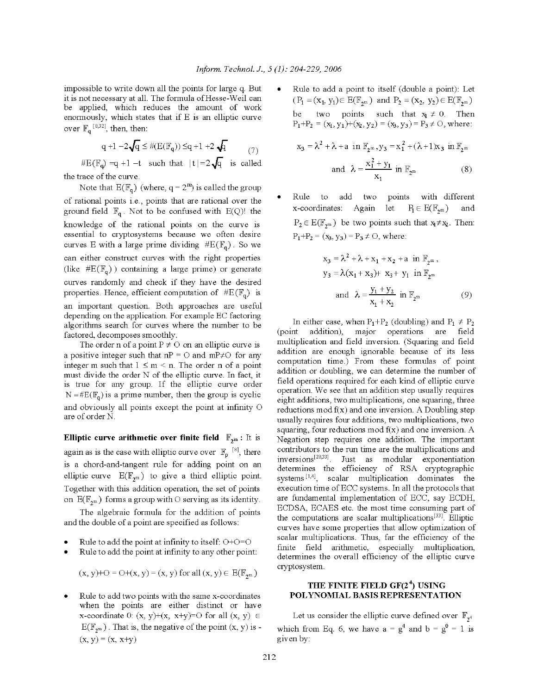impossible to write down all the points for large q. But it is not necessary at all. The formula of Hesse-Weil can be applied, which reduces the amount of work enormously, which states that if E is an elliptic curve over  $\mathbb{F}_q^{[8,32]}$ , then, then:

$$
q+1-2\sqrt{q}\leq \#(E(\mathbb{F}_q))\leq q+1+2\sqrt{q} \qquad \qquad (7)
$$

 $#E(\mathbb{F}_{q}) = q + 1 - t$  such that  $|t| = 2\sqrt{q}$  is called the trace of the curve.

Note that  $E(\mathbb{F}_q)$  (where,  $q = 2^m$ ) is called the group of rational points i.e., points that are rational over the ground field  $\mathbb{F}_q$ . Not to be confused with E(Q)! the knowledge of the rational points on the curve is essential to cryptosystems because we often desire curves E with a large prime dividing  $#E(\mathbb{F}_q)$ . So we can either construct curves with the right properties (like  $#E(\mathbb{F}_{q})$ ) containing a large prime) or generate curves randomly and check if they have the desired properties. Hence, efficient computation of  $#E(\mathbb{F}_q)$  is an important question. Both approaches are useful depending on the application. For example EC factoring algorithms search for curves where the number to be factored, decomposes smoothly.

The order n of a point  $P \neq O$  on an elliptic curve is a positive integer such that  $nP = O$  and  $mP \neq O$  for any integer m such that  $1 \le m \le n$ . The order n of a point must divide the order N of the elliptic curve. In fact, it is true for any group. If the elliptic curve order  $N = \#E(\mathbb{F}_{q})$  is a prime number, then the group is cyclic and obviously all points except the point at infinity O are of order N.

**Elliptic curve arithmetic over finite field**  $\mathbb{F}_{2^m}$ : It is again as is the case with elliptic curve over  $\mathbb{F}_p$  <sup>[8]</sup>, there is a chord-and-tangent rule for adding point on an elliptic curve  $E(\mathbb{F}_{2^m})$  to give a third elliptic point. Together with this addition operation, the set of points on  $E(\mathbb{F}_{2^m})$  forms a group with O serving as its identity.

The algebraic formula for the addition of points and the double of a point are specified as follows:

- Rule to add the point at infinity to itself:  $O+O=O$
- Rule to add the point at infinity to any other point:

$$
(x, y)+O = O+(x, y) = (x, y) \text{ for all } (x, y) \in E(\mathbb{F}_{2^m})
$$

Rule to add two points with the same x-coordinates when the points are either distinct or have x-coordinate 0:  $(x, y) + (x, x+y) = 0$  for all  $(x, y) \in$  $E(\mathbb{F}_{2^m})$ . That is, the negative of the point  $(x, y)$  is - $(x, y) = (x, x+y)$ 

Rule to add a point to itself (double a point). Let  $(P_1 = (x_1, y_1) \in E(\mathbb{F}_{2^m})$  and  $P_2 = (x_2, y_2) \in E(\mathbb{F}_{2^m})$ be two points such that  $x_1 \neq 0$ . Then  $P_1+P_2 = (x_1, y_1)+(x_2, y_2) = (x_3, y_3) = P_3 \neq O$ , where:

$$
x_3 = \lambda^2 + \lambda + a \text{ in } \mathbb{F}_{2^m}, y_3 = x_1^2 + (\lambda + 1)x_3 \text{ in } \mathbb{F}_{2^m}
$$
  
and 
$$
\lambda = \frac{x_1^2 + y_1}{x_1} \text{ in } \mathbb{F}_{2^m}
$$
 (8)

Rule to add two points with different x-coordinates: Again let  $P_1 \in E(\mathbb{F}_{2m})$ and  $P_2 \in E(\mathbb{F}_{2^m})$  be two points such that  $x_1 \neq x_2$ . Then:  $P_1+P_2 = (x_3, y_3) = P_3 \neq O$ , where:

$$
x_3 = \lambda^2 + \lambda + x_1 + x_2 + a \text{ in } \mathbb{F}_{2^m},
$$
  
\n
$$
y_3 = \lambda (x_1 + x_3) + x_3 + y_1 \text{ in } \mathbb{F}_{2^m}
$$
  
\nand 
$$
\lambda = \frac{y_1 + y_2}{x_1 + x_2} \text{ in } \mathbb{F}_{2^m}
$$
 (9)

In either case, when  $P_1+P_2$  (doubling) and  $P_1 \neq P_2$ (point addition), major operations are field multiplication and field inversion. (Squaring and field addition are enough ignorable because of its less computation time.) From these formulas of point addition or doubling, we can determine the number of field operations required for each kind of elliptic curve operation. We see that an addition step usually requires eight additions, two multiplications, one squaring, three reductions mod  $f(x)$  and one inversion. A Doubling step usually requires four additions, two multiplications, two squaring, four reductions mod  $f(x)$  and one inversion. A Negation step requires one addition. The important contributors to the run time are the multiplications and inversions<sup>[28,33]</sup>. Just as modular exponentiation determines the efficiency of RSA cryptographic systems<sup>[1,4]</sup>, scalar multiplication dominates the execution time of ECC systems. In all the protocols that are fundamental implementation of ECC, say ECDH, ECDSA, ECAES etc. the most time consuming part of the computations are scalar multiplications<sup>[33]</sup>. Elliptic curves have some properties that allow optimization of scalar multiplications. Thus, far the efficiency of the finite field arithmetic, especially multiplication, determines the overall efficiency of the elliptic curve cryptosystem.

## THE FINITE FIELD GF(2<sup>4</sup>) USING POLYNOMIAL BASIS REPRESENTATION

Let us consider the elliptic curve defined over  $\mathbb{F}_{2^4}$ which from Eq. 6, we have  $a = g^4$  and  $b = g^0 = 1$  is given by: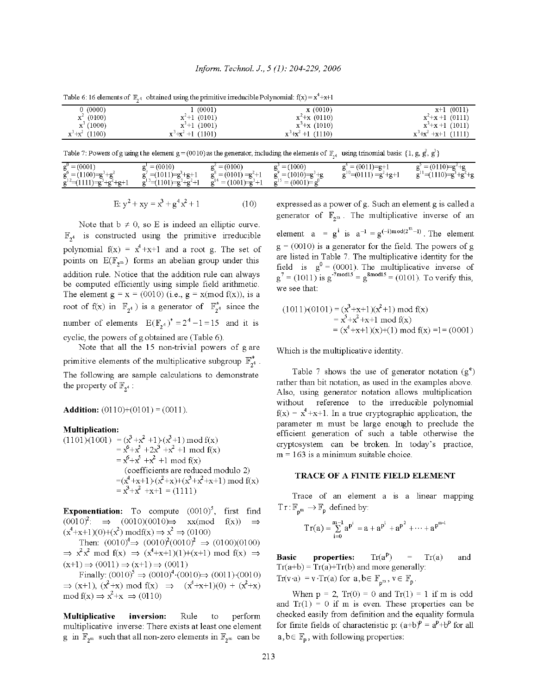|                    | a wear of a caracteristic of many of the comments of the company were planned and the commentary and provided the comment of the comment of the comment of the comment of the comment of the comment of the comment of the com |                    |                      |
|--------------------|--------------------------------------------------------------------------------------------------------------------------------------------------------------------------------------------------------------------------------|--------------------|----------------------|
| 0(0000)            | (0001)                                                                                                                                                                                                                         | x(0010)            | $x+1$ (0011)         |
| ${\bf x}^2$ (0100) | $x^2+1$ (0101)                                                                                                                                                                                                                 | $x^2+x(0110)$      | $x^2+x+1$ (0111)     |
| ${\bf x}^3$ (1000) | $x^3+1$ (1001)                                                                                                                                                                                                                 | $x^3+x(1010)$      | $x^3+x+1$ (1011)     |
| $x^3+x^2$ (1100)   | $x^3+x^2+1$ (1101)                                                                                                                                                                                                             | $x^3+x^2+1$ (1110) | $x^3+x^2+x+1$ (1111) |

Table 6:16 elements of  $\mathbb{F}_{4}$  obtained using the primitive irreducible Polynomial:  $f(x) = x^4 + x + 1$ 

Table 7: Powers of g using the element  $g = (0010)$  as the generator, including the elements of  $\mathbb{F}_{2^4}$  using trinomial basis: {1, g, g, g} }

| $g_{1}^{0} = (0001)$                                                     | $= (0010)$                                               | $t' = (0100)$                                           | (1000)<br>$=$                                       | $f'' = (0011) = g + 1$ | $= (0110) = g^2 + g$           |
|--------------------------------------------------------------------------|----------------------------------------------------------|---------------------------------------------------------|-----------------------------------------------------|------------------------|--------------------------------|
| $g^{0} = (1100) = g^{3} + g^{2}$<br>$g^2$ = (1111) = $g^3 + g^2 + g + 1$ | $' = (1011) = g' + g + 1$<br>$g' = (1101) = g' + g' + 1$ | $g^3 = (0101) = g^2 + 1$<br>$g^{14} = (1001) - g^{3} +$ | $i = (1010) = g^3 + g$<br>$g^{12} = (0001) = g^{0}$ | $g''=(0111)=g'+g+1$    | $g^1 = (1110) = g^3 + g^2 + g$ |

$$
E: y^2 + xy = x^3 + g^4x^2 + 1 \tag{10}
$$

Note that  $b \neq 0$ , so E is indeed an elliptic curve.  $\mathbb{F}_{24}$  is constructed using the primitive irreducible polynomial  $f(x) = x^4 + x + 1$  and a root g. The set of points on  $E(\mathbb{F}_{2^m})$  forms an abelian group under this addition rule. Notice that the addition rule can always be computed efficiently using simple field arithmetic. The element  $g = x = (0010)$  (i.e.,  $g = x \pmod{f(x)}$ , is a root of f(x) in  $\mathbb{F}_{2^4}$ ) is a generator of  $\mathbb{F}_{2^4}^*$  since the number of elements  $E(E_{24})^* = 2^4 - 1 = 15$  and it is cyclic, the powers of g obtained are (Table 6).

Note that all the 15 non-trivial powers of g are primitive elements of the multiplicative subgroup  $\mathbb{F}_{2^4}^*$ . The following are sample calculations to demonstrate the property of  $\mathbb{F}_{2^4}$ :

**Addition:**  $(0110)+(0101) = (0011)$ .

#### **Multiplication:**

 $(1101)(1001) = (x^3 + x^2 + 1)(x^3 + 1) \text{ mod } f(x)$  $= x^6 + x^5 + 2x^3 + x^2 + 1 \mod f(x)$  $= x^6 + x^5 + x^2 + 1 \mod f(x)$ (coefficients are reduced modulo 2) = $(x^4+x+1)(x^2+x)+(x^3+x^2+x+1) \text{ mod } f(x)$ <br>=  $x^3+x^2+x+1 = (1111)$ 

**Exponentiation:** To compute  $(0010)^5$ , first find  $(0010)^2$ :  $\Rightarrow$   $(0010)(0010) \Rightarrow$  xx(mod  $f(x)$   $\Rightarrow$  $(x^4+x+1)(0)+(x^2) \text{ modf}(x) \Rightarrow x^2 \Rightarrow (0100)$ 

Then:  $(0010)^4 \Rightarrow (0010)^2 (0010)^2 \Rightarrow (0100)(0100)$  $\Rightarrow$   $x^2x^2$  mod f(x)  $\Rightarrow$   $(x^4+x+1)(1)+(x+1)$  mod f(x)  $\Rightarrow$  $(x+1) \Rightarrow (0011) \Rightarrow (x+1) \Rightarrow (0011)$ 

Finally:  $(0010)^5 \Rightarrow (0010)^4 \cdot (0010) \Rightarrow (0011) \cdot (0010)$  $\Rightarrow$  (x+1), (x<sup>2</sup>+x) mod f(x)  $\Rightarrow$  (x<sup>4</sup>+x+1)(0) + (x<sup>2</sup>+x) mod f(x)  $\Rightarrow$   $x^2+x \Rightarrow (0110)$ 

**Multiplicative** inversion: Rule perform to multiplicative inverse. There exists at least one element g in  $\mathbb{F}_{2^m}$  such that all non-zero elements in  $\mathbb{F}_{2^m}$  can be

expressed as a power of g. Such an element g is called a generator of  $\mathbb{F}_{2^m}$ . The multiplicative inverse of an element  $a = g^i$  is  $a^{-1} = g^{(-i)mod(2^m-1)}$ . The element  $g = (0010)$  is a generator for the field. The powers of g are listed in Table 7. The multiplicative identity for the field is  $g^0 = (0001)$ . The multiplicative inverse of  $g^7 = (1011)$  is  $g^{-7 \text{ mod } 15} = g^{\text{8mod } 5} = (0101)$ . To verify this, we see that:

$$
(1011)(0101) = (x3+x+1)(x2+1) \text{ mod } f(x)
$$
  
= x<sup>5</sup>+x<sup>2</sup>+x+1 \text{ mod } f(x)  
= (x<sup>4</sup>+x+1)(x)+(1) \text{ mod } f(x) =1= (0001)

Which is the multiplicative identity.

Table 7 shows the use of generator notation  $(g^e)$ rather than bit notation, as used in the examples above. Also, using generator notation allows multiplication without reference to the irreducible polynomial  $f(x) = x<sup>4</sup> + x + 1$ . In a true cryptographic application, the parameter m must be large enough to preclude the efficient generation of such a table otherwise the cryptosystem can be broken. In today's practice,  $m = 163$  is a minimum suitable choice.

#### **TRACE OF A FINITE FIELD ELEMENT**

Trace of an element a is a linear mapping  $Tr: \mathbb{F}_{n^m} \to \mathbb{F}_{p}$  defined by:

$$
Tr(a)=\sum_{i=0}^{m-1}a^{p^i}=a+a^{p^1}+a^{p^2}+\cdots+a^{p^{m-l}}
$$

 $Tr(a^p)$ **Basic** properties:  $Tr(a)$  $\,=\,$ and  $Tr(a+b) = Tr(a)+Tr(b)$  and more generally:  $Tr(v \cdot a) = v \cdot Tr(a)$  for  $a, b \in \mathbb{F}_{p^m}$ ,  $v \in \mathbb{F}_p$ .

When  $p = 2$ ,  $Tr(0) = 0$  and  $Tr(1) = 1$  if m is odd and  $Tr(1) = 0$  if m is even. These properties can be checked easily from definition and the equality formula for finite fields of characteristic p:  $(a+b)^p = a^p + b^p$  for all  $a, b \in \mathbb{F}_{p}$ , with following properties: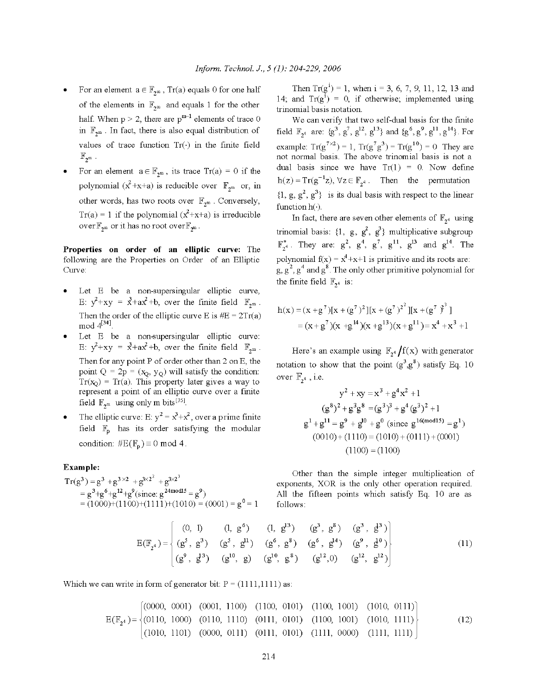- For an element  $\mathbf{a}\in\mathbb{F}_{2^m}$  ,  $\mathrm{Tr}(\mathbf{a})$  equals  $0$  for one half of the elements in  $\mathbb{F}_{2^m}$  and equals 1 for the other half. When  $p > 2$ , there are  $p^{m-1}$  elements of trace 0 in  $\mathbb{F}_{2^m}$ . In fact, there is also equal distribution of values of trace function  $Tr(\cdot)$  in the finite field  $\mathbb{F}_{q^m}$ .
- For an element  $a \in \mathbb{F}_{2^m}$ , its trace  $Tr(a) = 0$  if the polynomial  $(x^2+x+a)$  is reducible over  $\mathbb{F}_{2^m}$  or, in other words, has two roots over  $\mathbb{F}_{2^m}$ . Conversely,  $Tr(a) = 1$  if the polynomial  $(x^2+x+a)$  is irreducible over  $\mathbb{F}_{2^m}$  or it has no root over  $\mathbb{F}_{2^m}$ .

Properties on order of an elliptic curve: The following are the Properties on Order of an Elliptic Curve:

- Let E be a non-supersingular elliptic curve, E:  $y^2+xy = x^3+ax^2+b$ , over the finite field  $\mathbb{F}_{2^m}$ . Then the order of the elliptic curve E is  $#E = 2Tr(a)$ mod  $4^{[34]}$ .
- Let E be a non-supersingular elliptic curve: E:  $y^2+xy = x^2+ax^2+bc$ , over the finite field  $\mathbb{F}_{2^m}$ . Then for any point P of order other than 2 on E, the point  $Q = 2p = (x_Q, y_Q)$  will satisfy the condition:  $Tr(x_0) = Tr(a)$ . This property later gives a way to represent a point of an elliptic curve over a finite field  $\mathbb{F}_{2^m}$  using only m bits<sup>[35]</sup>.
- The elliptic curve: E:  $y^2 = x^3 + x^2$ , over a prime finite field  $\mathbb{F}_p$  has its order satisfying the modular condition:  $\#E(\mathbb{F}_{p}) \equiv 0 \text{ mod } 4$ .

#### Example:

$$
Tr(g3) = g3 + g3×2 + g3×22 + g3×23
$$
  
= g<sup>3</sup>+g<sup>6</sup>+g<sup>12</sup>+g<sup>9</sup>(since: g<sup>24mod15</sup> = g<sup>9</sup>)  
= (1000)+(1100)+(1111)+(1010) = (0001) = g<sup>0</sup> = 1

Then  $Tr(g^{i}) = 1$ , when  $i = 3, 6, 7, 9, 11, 12, 13$  and 14; and  $Tr(g^{i}) = 0$ , if otherwise; implemented using trinomial basis notation.

We can verify that two self-dual basis for the finite field  $\mathbb{F}_{2^4}$  are: { $g^3$ ,  $g^7$ ,  $g^{12}$ ,  $g^{13}$ } and { $g^6$ ,  $g^9$ ,  $g^{11}$ ,  $g^{14}$ }. For example:  $Tr(g^{7\chi 2}) = 1$ ,  $Tr(g^{7}g^{3}) = Tr(g^{10}) = 0$  They are not normal basis. The above trinomial basis is not a dual basis since we have  $Tr(1) = 0$ . Now define  $h(z) = Tr(g^{-1}z)$ ,  $\forall z \in \mathbb{F}_{2^4}$ . Then the permutation  $\{1, g, g^2, g^3\}$  is its dual basis with respect to the linear function h().

In fact, there are seven other elements of  $\mathbb{F}_{2^4}$  using trinomial basis: {1, g,  $g^2$ ,  $g^3$ } multiplicative subgroup  $\mathbb{F}_{2^4}^*$ . They are:  $g^2$ ,  $g^4$ ,  $g^7$ ,  $g^{11}$ ,  $g^{13}$  and  $g^{14}$ . The polynomial  $f(x) = x^4 + x + 1$  is primitive and its roots are:  $g, g<sup>2</sup>, g<sup>4</sup>$  and  $g<sup>8</sup>$ . The only other primitive polynomial for the finite field  $\mathbb{F}_{7^4}$  is:

$$
h(x) = (x + g7)[x + (g7)2][x + (g7)2][x + (g7)3]
$$
  
= (x + g<sup>7</sup>)(x + g<sup>14</sup>)(x + g<sup>13</sup>)(x + g<sup>11</sup>) = x<sup>4</sup> + x<sup>3</sup> + 1

Here's an example using  $\mathbb{F}_{2^4}/f(x)$  with generator notation to show that the point  $(g^3, g^8)$  satisfy Eq. 10 over  $\mathbb{F}_{2^4}$ , i.e.

$$
y^{2} + xy = x^{3} + g^{4}x^{2} + 1
$$
  
\n
$$
(g^{8})^{2} + g^{3}g^{8} = (g^{3})^{3} + g^{4}(g^{3})^{2} + 1
$$
  
\n
$$
g^{1} + g^{11} = g^{9} + g^{10} + g^{0} \text{ (since } g^{16 \text{(mod 15)}} = g^{1})
$$
  
\n
$$
(0010) + (1110) = (1010) + (0111) + (0001)
$$
  
\n
$$
(1100) = (1100)
$$

Other than the simple integer multiplication of exponents, XOR is the only other operation required. All the fifteen points which satisfy Eq. 10 are as follows:

$$
E(\mathbb{F}_{2^4}) = \begin{cases} (0, 1) & (1, g^6) & (1, g^{13}) & (g^3, g^{8}) & (g^3, g^{13}) \\ (g^5, g^3) & (g^5, g^{11}) & (g^6, g^8) & (g^6, g^{14}) & (g^9, g^{10}) \\ (g^9, g^{13}) & (g^{10}, g) & (g^{10}, g^{8}) & (g^{12}, g^{12}) \end{cases}
$$
(11)

Which we can write in form of generator bit:  $P = (1111, 1111)$  as:

$$
E(\mathbb{F}_{2^4}) = \begin{cases} (0000, 0001) & (0001, 1100) & (1100, 0101) & (1001, 1001) & (1010, 0111) \\ (0110, 1000) & (0110, 1110) & (0111, 0101) & (1100, 1001) & (1010, 1111) \\ (1010, 1101) & (0000, 0111) & (0111, 0101) & (1111, 0000) & (1111, 1111) \end{cases} \tag{12}
$$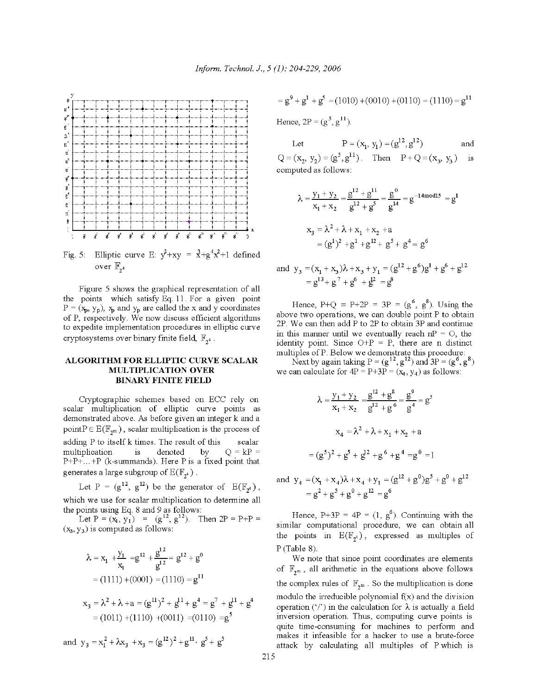

Fig. 5: Elliptic curve E:  $y^2+xy = x^3+g^4x^2+1$  defined over  $\mathbb{F}_{34}$ 

Figure 5 shows the graphical representation of all the points which satisfy Eq. 11. For a given point  $P = (x_p, y_p), x_p$  and  $y_p$  are called the x and y coordinates of P, respectively. We now discuss efficient algorithms to expedite implementation procedures in elliptic curve cryptosystems over binary finite field,  $\mathbb{F}_{2^4}$ .

### ALGORITHM FOR ELLIPTIC CURVE SCALAR **MULTIPLICATION OVER BINARY FINITE FIELD**

Cryptographic schemes based on ECC rely on scalar multiplication of elliptic curve points as demonstrated above. As before given an integer k and a point  $P \in E(\mathbb{F}_{2^m})$ , scalar multiplication is the process of adding P to itself k times. The result of this scalar multiplication  $O = kP =$  $1\mathrm{s}$ denoted by  $P+P+...+P$  (k-summands). Here P is a fixed point that generates a large subgroup of  $E(\mathbb{F}_{2^4})$ .

Let P =  $(g^{12}, g^{12})$  be the generator of  $E(\mathbb{F}_{p^4})$ , which we use for scalar multiplication to determine all

the points using Eq. 8 and 9 as follows:<br>Let  $P = (x_1, y_1) = (g^{12}, g^{12})$ . Then  $2P = P+P =$  $(x_3, y_3)$  is computed as follows:

$$
\lambda = x_1 + \frac{y_1}{x_1} = g^{12} + \frac{g^{12}}{g^{12}} = g^{12} + g^0
$$
  
= (1111) + (0001) = (1110) = g<sup>11</sup>  

$$
x_3 = \lambda^2 + \lambda + a = (g^{11})^2 + g^{11} + g^4 = g^7 + g^{11} + g^4
$$
  
= (1011) + (1110) + (0011) = (0110) = g<sup>5</sup>  
and y<sub>3</sub> = x<sub>1</sub><sup>2</sup> + \lambda x<sub>3</sub> + x<sub>3</sub> = (g<sup>12</sup>)<sup>2</sup> + g<sup>11</sup> · g<sup>5</sup> + g<sup>5</sup>

$$
= g9 + g1 + g5 = (1010) + (0010) + (0110) = (1110) = g11
$$
  
Hence 2P = (g<sup>5</sup> g<sup>11</sup>)

Hence,  $2P = (g, g)$ .

 $P = (x_1, y_1) = (g^{12}, g^{12})$ Let and  $Q = (x_2, y_2) = (g^5, g^{11})$ . Then  $P + Q = (x_3, y_3)$ is computed as follows:

$$
\lambda = \frac{y_1 + y_2}{x_1 + x_2} = \frac{g^{12} + g^{11}}{g^{12} + g^5} = \frac{g^0}{g^{14}} = g^{-14 \text{ mod } 15} = g^1
$$
  

$$
x_3 = \lambda^2 + \lambda + x_1 + x_2 + a
$$
  

$$
= (g^1)^2 + g^1 + g^{12} + g^5 + g^4 = g^6
$$

and 
$$
y_3 = (x_1 + x_3)\lambda + x_3 + y_1 = (g^{12} + g^6)g^1 + g^6 + g^{12}
$$
  
=  $g^{13} + g^7 + g^6 + g^{12} = g^8$ 

Hence,  $P+Q = P+2P = 3P = (g^6, g^8)$ . Using the above two operations, we can double point P to obtain 2P. We can then add P to 2P to obtain 3P and continue in this manner until we eventually reach  $nP = O$ , the identity point. Since  $O+P = P$ , there are n distinct multiples of P. Below we demonstrate this procedure:<br>Next by again taking  $P = (g^{12}, g^{12})$  and  $3P = (g^6, g^8)$ 

we can calculate for  $4P = P + 3P = (x_4, y_4)$  as follows:

$$
\lambda = \frac{y_1 + y_2}{x_1 + x_2} = \frac{g^{12} + g^8}{g^{12} + g^6} = \frac{g^9}{g^4} = g^5
$$

$$
x_4 = \lambda^2 + \lambda + x_1 + x_2 + a
$$

$$
= (g^5)^2 + g^5 + g^{12} + g^6 + g^4 = g^0 = 1
$$

and  $y_4 = (x_1 + x_4)\lambda + x_4 + y_1 = (g^{12} + g^0)g^5 + g^0 + g^{12}$  $= \varrho^2 + \varrho^5 + \varrho^0 + \varrho^{12} = \varrho^6$ 

Hence,  $P+3P = 4P = (1, g^6)$ . Continuing with the similar computational procedure, we can obtain all the points in  $E(\mathbb{F}_{\gamma^4})$ , expressed as multiples of  $P$  (Table 8).

We note that since point coordinates are elements of  $\mathbb{F}_{2^m}$ , all arithmetic in the equations above follows the complex rules of  $\mathbb{F}_{2^m}$ . So the multiplication is done modulo the irreducible polynomial  $f(x)$  and the division operation ('/') in the calculation for  $\lambda$  is actually a field inversion operation. Thus, computing curve points is quite time-consuming for machines to perform and makes it infeasible for a hacker to use a brute-force attack by calculating all multiples of P which is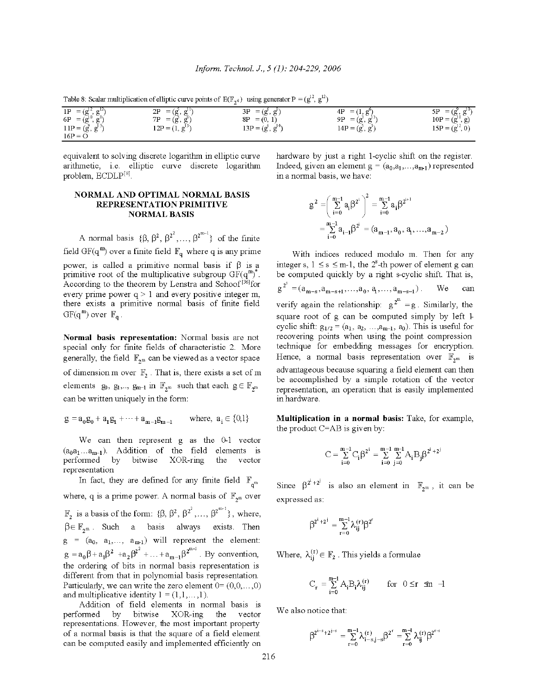Table 8: Scalar multiplication of elliptic curve points of  $E(\mathbb{F}_{q4})$  using generator  $P = (g^{12}, g^{12})$ 

|                                                   | 2P<br>$= (g, g')$    | 3P<br>$= (g', g')$    | $= (1, g^0)$<br>4P | പ്<br>5Р<br>$=$ (g, $\epsilon$ )    |
|---------------------------------------------------|----------------------|-----------------------|--------------------|-------------------------------------|
| 1P = $(g^{12}, g^{12})$<br>6P = $(g^{10}, g^{8})$ | 7P<br>$= (g^3, g^3)$ | $= (0, 1)$<br>8P      | 9P<br>$= (g, g^2)$ | $10P = (\tilde{g}^{10}, \tilde{g})$ |
| $11P = (g^9, g^{13})$                             | $12P = (1, g13)$     | $13P = (g^0, g^{14})$ | $14P = (g^5, g^3)$ | $15P = (g^{12}, 0)$                 |
| $16P = \Omega$                                    |                      |                       |                    |                                     |

equivalent to solving discrete logarithm in elliptic curve arithmetic, i.e. elliptic curve discrete logarithm problem,  $ECDLP^{[8]}$ .

#### **NORMAL AND OPTIMAL NORMAL BASIS REPRESENTATION PRIMITIVE NORMAL BASIS**

A normal basis  $\{\beta, \beta^2, \beta^{2^2}, \dots, \beta^{2^{m-1}}\}\$  of the finite field GF(q<sup>m</sup>) over a finite field  $\mathbb{F}_q$  where q is any prime power, is called a primitive normal basis if  $\beta$  is a primitive root of the multiplicative subgroup  $GF(q^{m})^*$ . According to the theorem by Lenstra and Schoof<sup>[36]</sup>for every prime power  $q > 1$  and every positive integer m, there exists a primitive normal basis of finite field  $GF(q^m)$  over  $\mathbb{F}_q$ .

Normal basis representation: Normal basis are not special only for finite fields of characteristic 2. More generally, the field  $\mathbb{F}_{2^m}$  can be viewed as a vector space of dimension m over  $\mathbb{F}_2$ . That is, there exists a set of m elements  $g_0, g_1, \ldots, g_{m-1}$  in  $\mathbb{F}_{2^m}$  such that each  $g \in \mathbb{F}_{2^m}$ can be written uniquely in the form:

$$
g = a_0 g_0 + a_1 g_1 + \dots + a_{m-1} g_{m-1}
$$
 where,  $a_i \in \{0,1\}$ 

We can then represent g as the 0-1 vector  $(a_0a_1...a_{m-1})$ . Addition of the field elements is by bitwise XOR-ring the vector performed representation

In fact, they are defined for any finite field  $\mathbb{F}_{q^m}$ where, q is a prime power. A normal basis of  $\mathbb{F}_{2^m}$  over  $\mathbb{F}_2$  is a basis of the form:  $\{\beta, \beta^2, \beta^{2^2}, \dots, \beta^{2^{m-1}}\}$ , where,  $\beta \in \mathbb{F}_{2^m}$ . Such a basis always exists. Then  $g = (a_0, a_1, \ldots, a_{m-1})$  will represent the element:  $g = a_0 \beta + a_1 \beta^2 + a_2 \beta^{2^2} + ... + a_{m-1} \beta^{2^{m-1}}$ . By convention, the ordering of bits in normal basis representation is different from that in polynomial basis representation. Particularly, we can write the zero element  $0 = (0, 0, \dots, 0)$ and multiplicative identity  $1 = (1, 1, \dots, 1)$ .

Addition of field elements in normal basis is performed bitwise  $XOR$ -ing the by vector representations. However, the most important property of a normal basis is that the square of a field element can be computed easily and implemented efficiently on hardware by just a right 1-cyclic shift on the register. Indeed, given an element  $g = (a_0, a_1, \ldots, a_{m1})$  represented in a normal basis, we have:

$$
g^{2} = \left(\sum_{i=0}^{m-1} a_{i} \beta^{2^{i}}\right)^{2} = \sum_{i=0}^{m-1} a_{i} \beta^{2^{i+1}}
$$

$$
= \sum_{i=0}^{m-1} a_{i-1} \beta^{2^{i}} = (a_{m-1}, a_{0}, a_{1}, ..., a_{m-2})
$$

With indices reduced modulo m. Then for any integer s,  $1 \leq s \leq m-1$ , the  $2^s$ -th power of element g can be computed quickly by a right s-cyclic shift. That is,  $g^{2^s} = (a_{m-s}, a_{m-s+1}, \ldots, a_0, a_1, \ldots, a_{m-s-1}).$ We can verify again the relationship:  $g^{2^m} = g$ . Similarly, the square root of g can be computed simply by left 1 cyclic shift:  $g_{1/2} = (a_1, a_2, ..., a_{m-1}, a_0)$ . This is useful for recovering points when using the point compression technique for embedding messages for encryption. Hence, a normal basis representation over  $\mathbb{F}_{2^m}$  is advantageous because squaring a field element can then be accomplished by a simple rotation of the vector representation, an operation that is easily implemented in hardware.

Multiplication in a normal basis: Take, for example, the product C=AB is given by:

$$
C=\sum_{i=0}^{m-1}C^{}_i\beta^{2^i}=\sum_{i=0}^{m-1}\sum_{j=0}^{m-1}A^{}_iB^{}_j\beta^{2^i+2^j}
$$

Since  $\beta^{2^i+2^j}$  is also an element in  $\mathbb{F}_{2^m}$ , it can be expressed as:

$$
\beta^{2^i+2^j} = \sum_{r=0}^{m-1} \lambda_{ij}^{(r)} \beta^{2^r}
$$

Where,  $\lambda_{ii}^{(r)} \in \mathbb{F}_2$ . This yields a formulae

$$
C_r = \sum_{i=0}^{m-1} A_i B_i \lambda_{ij}^{(r)} \quad \text{for } 0 \le r \text{ in } -l
$$

We also notice that:

$$
\beta^{2^{i-s}+2^{j-s}}=\sum_{r=0}^{m-1}\lambda_{i-s,j-s}^{(r)}\beta^{2^r}=\sum_{r=0}^{m-1}\lambda_{ij}^{(r)}\beta^{2^{r-s}}
$$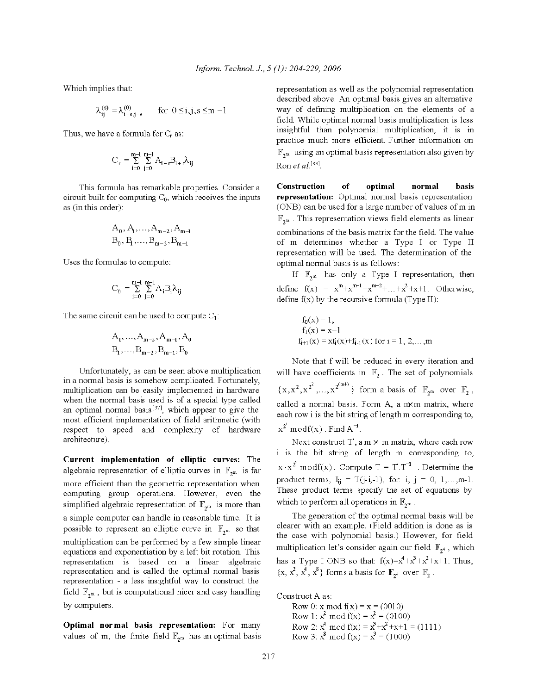Which implies that:

$$
\lambda_{ij}^{(s)}=\lambda_{i-s,j-s}^{(0)}\qquad\text{for }0\leq i,j,s\leq m-l
$$

Thus, we have a formula for  $C_r$  as:

$$
C_r = \sum_{i=0}^{m-1} \sum_{j=0}^{m-1} A_{i+r} B_{i+r} \lambda_{ij}
$$

This formula has remarkable properties. Consider a circuit built for computing  $C_0$ , which receives the inputs as (in this order):

$$
A_0, A_1, \ldots, A_{m-2}, A_{m-1}
$$
  
 $B_0, B_1, \ldots, B_{m-2}, B_{m-1}$ 

Uses the formulae to compute:

$$
\mathrm{C}_0 \, = \textstyle\sum\limits_{i=0}^{m-1} \, \textstyle\sum\limits_{j=0}^{m-1} A_i \mathrm{B}_i \lambda_{ij}
$$

The same circuit can be used to compute  $C_1$ :

$$
A_1, \ldots, A_{m-2}, A_{m-1}, A_0
$$

$$
B_1, \ldots, B_{m-2}, B_{m-1}, B_0
$$

Unfortunately, as can be seen above multiplication in a normal basis is somehow complicated. Fortunately, multiplication can be easily implemented in hardware when the normal basis used is of a special type called an optimal normal basis<sup>[37]</sup>, which appear to give the most efficient implementation of field arithmetic (with respect to speed and complexity of hardware architecture).

Current implementation of elliptic curves: The algebraic representation of elliptic curves in  $\mathbb{F}_{2^m}$  is far more efficient than the geometric representation when computing group operations. However, even the simplified algebraic representation of  $\mathbb{F}_{2^m}$  is more than a simple computer can handle in reasonable time. It is possible to represent an elliptic curve in  $\mathbb{F}_{2^m}$  so that multiplication can be performed by a few simple linear equations and exponentiation by a left bit rotation. This representation is based on a linear algebraic representation and is called the optimal normal basis representation - a less insightful way to construct the field  $\mathbb{F}_{2^m}$ , but is computational nicer and easy handling by computers.

Optimal normal basis representation: For many values of m, the finite field  $\mathbb{F}_{2^m}$  has an optimal basis representation as well as the polynomial representation described above. An optimal basis gives an alternative way of defining multiplication on the elements of a field. While optimal normal basis multiplication is less insightful than polynomial multiplication, it is in practice much more efficient. Further information on  $\mathbb{F}_{2^m}$  using an optimal basis representation also given by Ron et al.<sup>[38]</sup>.

Construction of optimal normal hasis representation: Optimal normal basis representation (ONB) can be used for a large number of values of m in  $\mathbb{F}_{2^m}$ . This representation views field elements as linear combinations of the basis matrix for the field. The value of m determines whether a Type I or Type II representation will be used. The determination of the optimal normal basis is as follows:

If  $\mathbb{F}_{2^m}$  has only a Type I representation, then define  $f(x) = x^m + x^{m-1} + x^{m-2} + ... + x^2 + x + 1$ . Otherwise, define  $f(x)$  by the recursive formula (Type II):

$$
f_0(x) = 1
$$
,  
\n $f_1(x) = x+1$   
\n $f_{i+1}(x) = xf_i(x)+f_{i-1}(x)$  for  $i = 1, 2, ..., m$ 

Note that f will be reduced in every iteration and will have coefficients in  $\mathbb{F}_2$ . The set of polynomials  $\{x, x^2, x^{2^2}, \ldots, x^{2^{(m+)}}\}\$ form a basis of  $\mathbb{F}_{2^m}$  over  $\mathbb{F}_2$ , called a normal basis. Form A, a mom matrix, where each row i is the bit string of length m corresponding to,  $x^{2^1} \mod f(x)$ . Find  $A^{-1}$ .

Next construct T', a  $m \times m$  matrix, where each row i is the bit string of length m corresponding to,  $x \cdot x^{2^i} \mod f(x)$ . Compute  $T = T'.T^{-1}$ . Determine the product terms,  $I_{ij} = T(j-i,-1)$ , for: i, j = 0, 1,...,m-1. These product terms specify the set of equations by which to perform all operations in  $\mathbb{F}_{2^m}$ .

The generation of the optimal normal basis will be clearer with an example. (Field addition is done as is the case with polynomial basis.) However, for field multiplication let's consider again our field  $\mathbb{F}_{2^4}$ , which has a Type I ONB so that:  $f(x)=x^4+x^3+x^2+x+1$ . Thus,  $\{x, x^2, x^4, x^8\}$  forms a basis for  $\mathbb{F}_{2^4}$  over  $\mathbb{F}_2$ .

Construct A as:

Row 0: x mod  $f(x) = x = (0010)$ Row 1:  $x^2$  mod  $f(x) = x^2 = (0100)$ Row 2:  $x^4$  mod  $f(x) = x^3 + x^2 + x + 1 = (1111)$ <br>Row 3:  $x^8$  mod  $f(x) = x^3 = (1000)$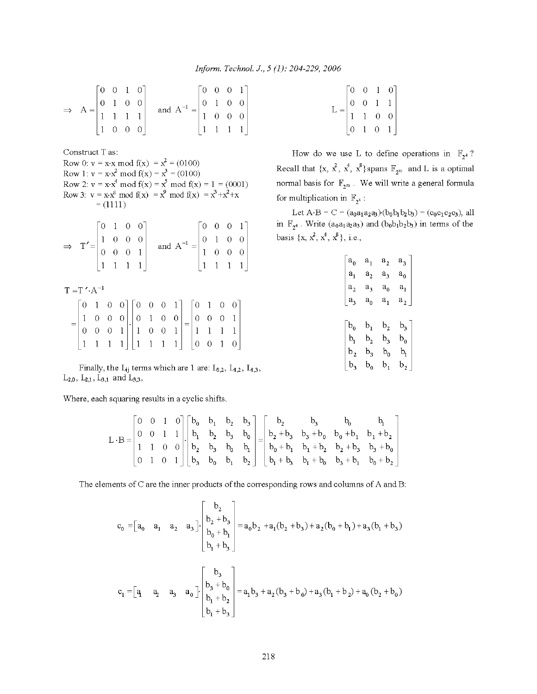$$
\Rightarrow A = \begin{bmatrix} 0 & 0 & 1 & 0 \\ 0 & 1 & 0 & 0 \\ 1 & 1 & 1 & 1 \\ 1 & 0 & 0 & 0 \end{bmatrix} \text{ and } A^{-1} = \begin{bmatrix} 0 & 0 & 0 & 1 \\ 0 & 1 & 0 & 0 \\ 1 & 0 & 0 & 0 \\ 1 & 1 & 1 & 1 \end{bmatrix}
$$

Construct T as: Row 0:  $v = x \cdot x \mod f(x) = x^2 = (0100)$ <br>
Row 1:  $v = x \cdot x^2 \mod f(x) = x^3 = (0100)$ <br>
Row 2:  $v = x \cdot x^4 \mod f(x) = x^5 \mod f(x) = 1 = (0001)$ <br>
Row 3:  $v = x \cdot x^8 \mod f(x) = x^9 \mod f(x) = x^3 + x^2 + x$  $= (1111)$ 

|  |  |  | $\Rightarrow$ T'= $\begin{bmatrix} 0 & 1 & 0 & 0 \\ 1 & 0 & 0 & 0 \\ 0 & 0 & 0 & 1 \\ 1 & 1 & 1 & 1 \end{bmatrix}$ and $A^{-1} = \begin{bmatrix} 0 & 0 & 0 & 1 \\ 0 & 1 & 0 & 0 \\ 1 & 0 & 0 & 0 \\ 1 & 1 & 1 & 1 \end{bmatrix}$ |  |  |
|--|--|--|----------------------------------------------------------------------------------------------------------------------------------------------------------------------------------------------------------------------------------|--|--|
|  |  |  |                                                                                                                                                                                                                                  |  |  |

 $T = T' \cdot A^{-1}$ 

|  |  |  | $\begin{bmatrix} 0 & 1 & 0 & 0 \end{bmatrix} \begin{bmatrix} 0 & 0 & 0 & 1 \end{bmatrix} \begin{bmatrix} 0 & 1 & 0 & 0 \end{bmatrix}$                                                                                                                |  |  |  |  |
|--|--|--|------------------------------------------------------------------------------------------------------------------------------------------------------------------------------------------------------------------------------------------------------|--|--|--|--|
|  |  |  |                                                                                                                                                                                                                                                      |  |  |  |  |
|  |  |  |                                                                                                                                                                                                                                                      |  |  |  |  |
|  |  |  | $=\begin{bmatrix} 1 & 0 & 0 & 0 \\ 0 & 0 & 0 & 1 \\ 1 & 1 & 1 & 1 \end{bmatrix} \cdot \begin{bmatrix} 0 & 1 & 0 & 0 \\ 1 & 0 & 0 & 1 \\ 1 & 1 & 1 & 1 \end{bmatrix} = \begin{bmatrix} 0 & 0 & 0 & 1 \\ 1 & 1 & 1 & 1 \\ 0 & 0 & 1 & 0 \end{bmatrix}$ |  |  |  |  |

Finally, the  $L_{ij}$  terms which are 1 are:  $L_{0,2}$ ,  $L_{1,2}$ ,  $L_{1,3}$ ,  $L_{2,0}$ ,  $L_{2,1}$ ,  $L_{3,1}$  and  $L_{3,3}$ ,

Where, each squaring results in a cyclic shifts.

$$
L \cdot B = \begin{bmatrix} 0 & 0 & 1 & 0 \\ 0 & 0 & 1 & 1 \\ 1 & 1 & 0 & 0 \\ 0 & 1 & 0 & 1 \end{bmatrix} \cdot \begin{bmatrix} b_0 & b_1 & b_2 & b_3 \\ b_1 & b_2 & b_3 & b_0 \\ b_2 & b_3 & b_0 & b_1 \\ b_3 & b_0 & b_1 & b_2 \end{bmatrix} = \begin{bmatrix} b_2 & b_3 & b_0 & b_1 \\ b_2 + b_3 & b_3 + b_0 & b_0 + b_1 & b_1 + b_2 \\ b_0 + b_1 & b_1 + b_2 & b_2 + b_3 & b_3 + b_0 \\ b_1 + b_3 & b_1 + b_0 & b_3 + b_1 & b_0 + b_2 \end{bmatrix}
$$

The elements of C are the inner products of the corresponding rows and columns of A and B:

$$
c_0 = \begin{bmatrix} a_0 & a_1 & a_2 & a_3 \end{bmatrix} \cdot \begin{bmatrix} b_2 \\ b_2 + b_3 \\ b_0 + b_1 \\ b_1 + b_3 \end{bmatrix} = a_0b_2 + a_1(b_2 + b_3) + a_2(b_0 + b_1) + a_3(b_1 + b_3)
$$
  

$$
c_1 = \begin{bmatrix} a_1 & a_2 & a_3 & a_0 \end{bmatrix} \cdot \begin{bmatrix} b_3 \\ b_3 + b_0 \\ b_1 + b_2 \\ b_1 + b_3 \end{bmatrix} = a_1b_3 + a_2(b_3 + b_0) + a_3(b_1 + b_2) + a_0(b_2 + b_0)
$$

$$
L = \begin{bmatrix} 0 & 0 & 1 & 0 \\ 0 & 0 & 1 & 1 \\ 1 & 1 & 0 & 0 \\ 0 & 1 & 0 & 1 \end{bmatrix}
$$

How do we use L to define operations in  $\mathbb{F}_{2^4}$ ? Recall that  $\{x, x^2, x^4, x^8\}$ spans  $\mathbb{F}_{2^m}$  and L is a optimal normal basis for  $\mathbb{F}_{2^m}$ . We will write a general formula for multiplication in  $\mathbb{F}_{2^4}$ :

Let  $A \cdot B = C = (a_0 a_1 a_2 a_3)(b_0 b_1 b_2 b_3) = (c_0 c_1 c_2 c_3)$ , all in  $\mathbb{F}_{2^4}$ . Write  $(a_0a_1a_2a_3)$  and  $(b_0b_1b_2b_3)$  in terms of the basis {x,  $x^2$ ,  $x^4$ ,  $x^8$ }, i.e.,

| a <sub>0</sub> | $a_{1}$         | $a_{2}$                    | $a_{3}$        |
|----------------|-----------------|----------------------------|----------------|
| $\mathbf{a}_1$ | $\rm{a}^{}_{2}$ | $a_{3}$                    | $a_0$          |
| $a_{2}$        | а,              | $a_0$                      | $a_{1}$        |
| $a_{3}$        | $a_0$           | $a_{1}$                    | $a_{2}$        |
|                |                 |                            |                |
|                |                 |                            |                |
| $b_{0}$        | $b_{1}$         | $b^{\vphantom{\dagger}}_2$ | $b^3$          |
| b <sub>1</sub> | $\rm b^{}_{2}$  | b,                         | $b^0$          |
| $b_2$          | $b_{3}$         | $b_0$                      | b <sub>1</sub> |
| $b_3$          | b <sub>0</sub>  | $b_{1}$                    | $b_{2}$        |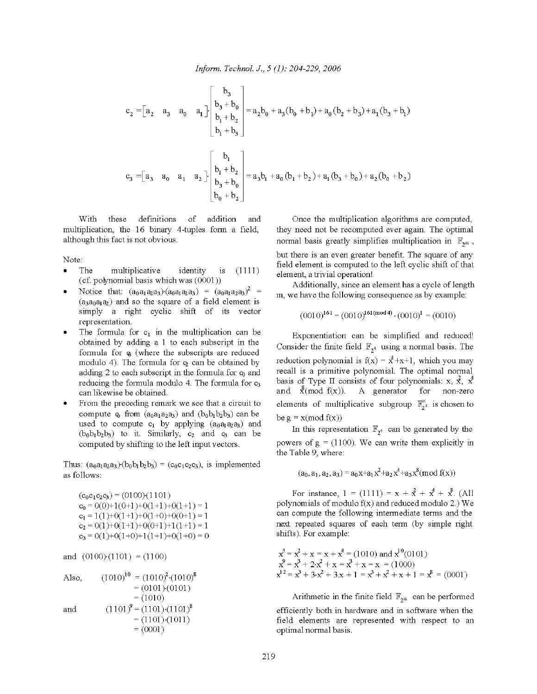$$
c_2 = \begin{bmatrix} a_2 & a_3 & a_0 & a_1 \end{bmatrix} \begin{bmatrix} b_3 \\ b_3 + b_0 \\ b_1 + b_2 \\ b_1 + b_3 \end{bmatrix} = a_2b_0 + a_3(b_0 + b_1) + a_0(b_2 + b_3) + a_1(b_3 + b_1)
$$
  

$$
c_3 = \begin{bmatrix} a_3 & a_0 & a_1 & a_2 \end{bmatrix} \cdot \begin{bmatrix} b_1 \\ b_1 + b_2 \\ b_3 + b_0 \\ b_3 + b_0 \end{bmatrix} = a_3b_1 + a_0(b_1 + b_2) + a_1(b_3 + b_0) + a_2(b_0 + b_2)
$$

addition With these definitions οf and multiplication, the 16 binary 4-tuples form a field, although this fact is not obvious.

Note:

- The multiplicative identity  $1\mathrm{S}$  $(1111)$  $\bullet$ (cf. polynomial basis which was (0001))
- Notice that:  $(a_0a_1a_2a_3)(a_0a_1a_2a_3) = (a_0a_1a_2a_3)^2$  $(a_3a_0a_1a_2)$  and so the square of a field element is simply a right cyclic shift of its vector representation.
- The formula for  $c_1$  in the multiplication can be obtained by adding a 1 to each subscript in the formula for  $\varphi$  (where the subscripts are reduced modulo 4). The formula for  $\varphi$  can be obtained by adding 2 to each subscript in the formula for  $c_0$  and reducing the formula modulo 4. The formula for c3 can likewise be obtained.
- From the preceding remark we see that a circuit to compute  $\varphi$  from  $(a_0a_1a_2a_3)$  and  $(b_0b_1b_2b_3)$  can be used to compute  $c_1$  by applying  $(a_0a_1a_2a_3)$  and  $(b_0b_1b_2b_3)$  to it. Similarly,  $c_2$  and  $c_3$  can be computed by shifting to the left input vectors.

Thus:  $(a_0a_1a_2a_3)(b_0b_1b_2b_3) = (c_0c_1c_2c_3)$ , is implemented as follows:

 $(c_0c_1c_2c_3) = (0100)(1101)$  $c_0 = 0(0)+1(0+1)+0(1+1)+0(1+1) = 1$  $c_1 = 1(1)+0(1+1)+0(1+0)+0(0+1) = 1$  $c_2 = 0(1)+0(1+1)+0(0+1)+1(1+1) = 1$  $c_3 = 0(1)+0(1+0)+1(1+1)+0(1+0) = 0$ 

and  $(0100)(1101) = (1100)$ 

Once the multiplication algorithms are computed, they need not be recomputed ever again. The optimal normal basis greatly simplifies multiplication in  $\mathbb{F}_{2^m}$ , but there is an even greater benefit. The square of any field element is computed to the left cyclic shift of that element, a trivial operation!

Additionally, since an element has a cycle of length m, we have the following consequence as by example:

$$
(0010)^{161} = (0010)^{161 \text{(mod } 4)} \cdot (0010)^1 = (0010)
$$

Exponentiation can be simplified and reduced! Consider the finite field  $\mathbb{F}_{2^4}$  using a normal basis. The reduction polynomial is  $f(x) = x^4 + x + 1$ , which you may recall is a primitive polynomial. The optimal normal basis of Type II consists of four polynomials: x,  $\vec{x}$ ,  $\vec{x}$ and  $\chi^{8}(\text{mod } f(x))$ . A generator for non-zero elements of multiplicative subgroup  $\mathbb{F}_{2^4}^{\times}$  is chosen to be  $g = x \pmod{f(x)}$ 

In this representation  $\mathbb{F}_{2^4}$  can be generated by the powers of  $g = (1100)$ . We can write them explicitly in the Table 9, where:

$$
(a_0, a_1, a_2, a_3) = a_0x + a_1x^2 + a_2x^4 + a_3x^8 \pmod{f(x)}
$$

For instance,  $1 = (1111) = x + \hat{x} + x^4 + \hat{x}^6$ . (All polynomials of modulo  $f(x)$  and reduced modulo 2.) We can compute the following intermediate terms and the next repeated squares of each term (by simple right shifts). For example:

$$
x5 = x2 + x = x + x4 = (1010) and x10(0101)
$$
  
\n
$$
x9 = x3 + 2x2 + x = x3 + x = x = (1000)
$$
  
\n
$$
x12 = x3 + 3x2 + 3x + 1 = x3 + x2 + x + 1 = x8 = (0001)
$$

Arithmetic in the finite field  $\mathbb{F}_{2^m}$  can be performed efficiently both in hardware and in software when the field elements are represented with respect to an optimal normal basis.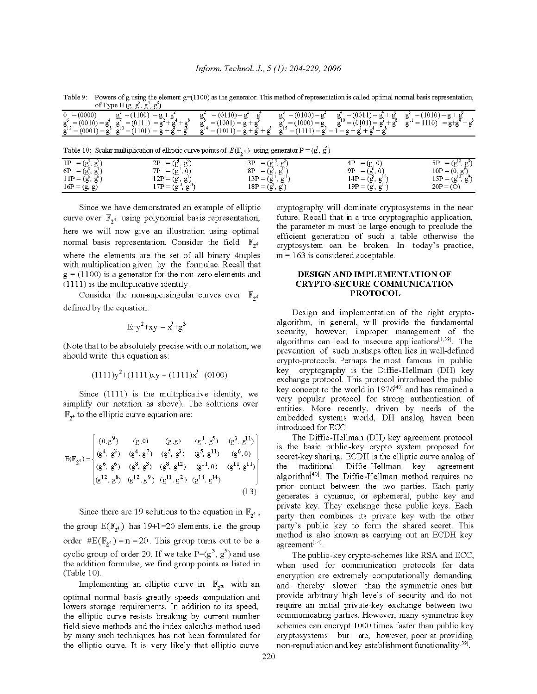| Table 9                                      | Powers of g using the element $g=(1100)$ as the generator. This method of representation is called optimal normal basis representation,<br>of Type II $(g, g', g'', g'')$ |                                                                                                  |                                            |                                                                                                                          |                                                                 |
|----------------------------------------------|---------------------------------------------------------------------------------------------------------------------------------------------------------------------------|--------------------------------------------------------------------------------------------------|--------------------------------------------|--------------------------------------------------------------------------------------------------------------------------|-----------------------------------------------------------------|
| $= (0000)$<br>$g_{12}^0 = (0010) = g_{22}^4$ | $g' = (1100) = g + g'$<br>$= (0111) = g2 + g4 + g8$<br>$\varrho^{12} = (0001) = \varrho^8$ $\varrho^{13} = (1101) = \varrho + \varrho^4 + \varrho^8$                      | $= (0110) = g^2 + g^4$<br>$g^{\circ} = (1001) = g + g^{\circ}$<br>$f^4 = (1011) = g + g^4 + g^6$ | $g^2 = (0100) = g^2$<br>$g^2 = (1000) = g$ | $g_{10}^4 = (0011) = g_1^4 + g_2^8$ $g_{11}^5 = (1010) = g + g_2^8$<br>$g^{15} = (1111) = g^0 = 1 = g + g^0 + g^0 + g^0$ | $g^{10} = (0101) = g^2 + g^8$ $g^{11} = 1110$ $= g + g^8 + g^8$ |

Table 10: Scalar multiplication of elliptic curve points of  $E(\mathbb{F}_{4})$  using generator  $P = (g^3, g^5)$ 

|                                            |           | . .                                                                     | $-$                                       |                                        |                            |
|--------------------------------------------|-----------|-------------------------------------------------------------------------|-------------------------------------------|----------------------------------------|----------------------------|
| 1P<br>(g,<br>$\sigma$<br>$=$<br>G.         | 2P        | $\alpha$<br>$=$<br>(g.<br>Ð                                             | 3Р<br>$\overline{\phantom{a}}$<br>(g<br>= | $= (g, 0)$<br>4P                       | 5Ρ<br>റ്<br>(g<br>$=$<br>ь |
| 6P<br>0۳<br>g<br>$=$<br><b>\S&gt;</b>      | 7D        | $\cap$<br>(g<br>$=$                                                     | 8P<br>$=$<br>(g,<br>Ð                     | 9Ρ<br>$=$<br>US,                       | $10P =$<br>(0, g)          |
| $\mathbf{g}^{\mathbf{p}}$<br>$11P = (g^0,$ | 2D<br>141 | $\sim$<br>- 10                                                          | $\sigma^{11}$<br>$13P =$<br>(g            | $14P =$<br><b>16</b><br>$\overline{ }$ | $15P =$<br>(g "<br>∝<br>ъ. |
| $16P = (g, g)$                             | 7D        | $\sigma^{14}$<br>$\sim$<br>്റ<br>$\overline{\phantom{a}}$<br>NG.<br>, p | $18P =$<br>(g,<br>$\alpha'$<br>ь.         | $19P =$<br>ίď<br><b>1.6</b><br>Ð       | $20P = (O)$                |

Since we have demonstrated an example of elliptic curve over  $\mathbb{F}_{2^4}$  using polynomial basis representation, here we will now give an illustration using optimal normal basis representation. Consider the field  $\mathbb{F}_{2^4}$ where the elements are the set of all binary 4tuples with multiplication given by the formulae. Recall that  $g = (1100)$  is a generator for the non-zero elements and  $(1111)$  is the multiplicative identify.

Consider the non-supersingular curves over  $\mathbb{F}_{2^4}$ defined by the equation:

$$
E: y^2 + xy = x^3 + g^3
$$

(Note that to be absolutely precise with our notation, we should write this equation as:

$$
(1111)y^{2} + (1111)xy = (1111)x^{3} + (0100)
$$

Since (1111) is the multiplicative identity, we simplify our notation as above). The solutions over  $\mathbb{F}_{2^4}$  to the elliptic curve equation are:

$$
E(\mathbb{F}_{2^4}) = \begin{bmatrix} (0,g^9) & (g,0) & (g,g) & (g^3, g^5) & (g^3, g^{11}) \\ (g^4, g^3) & (g^4, g^7) & (g^5, g^3) & (g^5, g^{11}) & (g^6, 0) \\ (g^6, g^6) & (g^8, g^3) & (g^8, g^{12}) & (g^{11}, 0) & (g^{11}, g^{11}) \\ (g^{12}, g^8) & (g^{12}, g^9) & (g^{13}, g^2) & (g^{13}, g^{14}) \end{bmatrix}
$$
(13)

Since there are 19 solutions to the equation in  $\mathbb{F}_{24}$ , the group  $E(\mathbb{F}_{2^4})$  has 19+1=20 elements, i.e. the group order  $\#E(\mathbb{F}_{2^4}) = n = 20$ . This group turns out to be a cyclic group of order 20. If we take  $P=(g^3, g^5)$  and use the addition formulae, we find group points as listed in  $(Table 10)$ .

Implementing an elliptic curve in  $\mathbb{F}_{2^m}$  with an optimal normal basis greatly speeds computation and lowers storage requirements. In addition to its speed, the elliptic curve resists breaking by current number field sieve methods and the index calculus method used by many such techniques has not been formulated for the elliptic curve. It is very likely that elliptic curve

cryptography will dominate cryptosystems in the near future. Recall that in a true cryptographic application, the parameter m must be large enough to preclude the efficient generation of such a table otherwise the cryptosystem can be broken. In today's practice,  $m = 163$  is considered acceptable.

#### DESIGN AND IMPLEMENTATION OF **CRYPTO-SECURE COMMUNICATION PROTOCOL**

Design and implementation of the right cryptoalgorithm, in general, will provide the fundamental security, however, improper management of the algorithms can lead to insecure applications<sup>[1,39]</sup>. The prevention of such mishaps often lies in well-defined crypto-protocols. Perhaps the most famous in public key cryptography is the Diffie-Hellman (DH) key exchange protocol. This protocol introduced the public key concept to the world in  $1976^{40}$  and has remained a very popular protocol for strong authentication of entities. More recently, driven by needs of the embedded systems world, DH analog haven been introduced for ECC.

The Diffie-Hellman (DH) key agreement protocol is the basic public-key crypto system proposed for secret-key sharing. ECDH is the elliptic curve analog of the traditional Diffie-Hellman key agreement algorithm<sup>[40]</sup>. The Diffie-Hellman method requires no prior contact between the two parties. Each party generates a dynamic, or ephemeral, public key and private key. They exchange these public keys. Each party then combines its private key with the other party's public key to form the shared secret. This method is also known as carrying out an ECDH key agreement[14].

The public-key crypto-schemes like RSA and ECC, when used for communication protocols for data encryption are extremely computationally demanding and thereby slower than the symmetric ones but provide arbitrary high levels of security and do not require an initial private-key exchange between two communicating parties. However, many symmetric key schemes can encrypt 1000 times faster than public key cryptosystems but are, however, poor at providing non-repudiation and key establishment functionality<sup>[39]</sup>.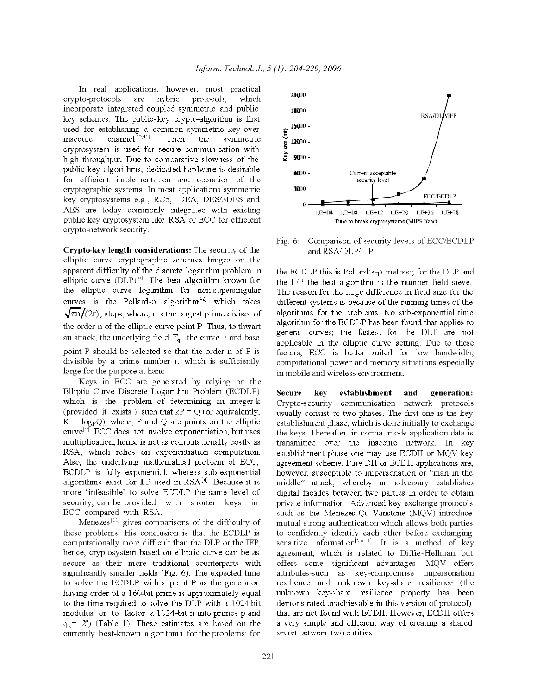In real applications, however, most practical are crypto-protocols hybrid protocols, which incorporate integrated coupled symmetric and public key schemes. The public-key crypto-algorithm is first used for establishing a common symmetric-key over channel<sup>[40,41]</sup>. insecure Then the symmetric cryptosystem is used for secure communication with high throughput. Due to comparative slowness of the public-key algorithms, dedicated hardware is desirable for efficient implementation and operation of the cryptographic systems. In most applications symmetric key cryptosystems e.g., RC5, IDEA, DES/3DES and AES are today commonly integrated with existing public key cryptosystem like RSA or ECC for efficient crypto-network security.

Crypto-key length considerations: The security of the elliptic curve cryptographic schemes hinges on the apparent difficulty of the discrete logarithm problem in elliptic curve (DLP)<sup>[8]</sup>. The best algorithm known for the elliptic curve logarithm for non-supersingular curves is the Pollard- $\rho$  algorithm<sup>{42}</sup> which takes  $\sqrt{\pi n}/(2r)$ , steps, where, r is the largest prime divisor of the order n of the elliptic curve point P. Thus, to thwart an attack, the underlying field  $\mathbb{F}_q$ , the curve E and base point P should be selected so that the order n of P is divisible by a prime number r, which is sufficiently large for the purpose at hand.

Keys in ECC are generated by relying on the Elliptic Curve Discrete Logarithm Problem (ECDLP) which is the problem of determining an integer k (provided it exists) such that  $kP = Q$  (or equivalently,  $K = log_{P}Q$ , where, P and Q are points on the elliptic curve<sup>[8]</sup>. ECC does not involve exponentiation, but uses multiplication, hence is not as computationally costly as RSA, which relies on exponentiation computation. Also, the underlying mathematical problem of ECC, ECDLP is fully exponential, whereas sub-exponential algorithms exist for FP used in RSA<sup>[4]</sup>. Because it is more 'infeasible' to solve ECDLP the same level of security, can be provided with shorter keys in ECC compared with RSA.

Menezes<sup>[11]</sup> gives comparisons of the difficulty of these problems. His conclusion is that the ECDLP is computationally more difficult than the DLP or the IFP, hence, cryptosystem based on elliptic curve can be as secure as their more traditional counterparts with significantly smaller fields (Fig. 6). The expected time to solve the ECDLP with a point P as the generator having order of a 160-bit prime is approximately equal to the time required to solve the DLP with a 1024bit modulus or to factor a 1024-bit n into primes p and  $q(=\mathbf{2}^n)$  (Table 1). These estimates are based on the currently best-known algorithms for the problems: for



Comparison of security levels of ECC/ECDLP Fig.  $6$ : and RSA/DLP/IFP

the ECDLP this is Pollard's- $\rho$  method; for the DLP and the IFP the best algorithm is the number field sieve. The reason for the large difference in field size for the different systems is because of the running times of the algorithms for the problems. No sub-exponential time algorithm for the ECDLP has been found that applies to general curves; the fastest for the DLP are not applicable in the elliptic curve setting. Due to these factors, ECC is better suited for low bandwidth, computational power and memory situations especially in mobile and wireless environment.

establishment generation: **Secure key** and Crypto-security communication network protocols usually consist of two phases. The first one is the key establishment phase, which is done initially to exchange the keys. Thereafter, in normal mode application data is transmitted over the insecure network. In key establishment phase one may use ECDH or MQV key agreement scheme. Pure DH or ECDH applications are, however, susceptible to impersonation or "man in the middle" attack, whereby an adversary establishes digital facades between two parties in order to obtain private information. Advanced key exchange protocols such as the Menezes-Qu-Vanstone (MQV) introduce mutual strong authentication which allows both parties to confidently identify each other before exchanging sensitive information<sup>[5,8,11]</sup>. It is a method of key agreement, which is related to Diffie-Hellman, but offers some significant advantages. MQV offers attributes-such as key-compromise impersonation resilience and unknown key-share resilience (the unknown key-share resilience property has been demonstrated unachievable in this version of protocol)that are not found with ECDH. However, ECDH offers a very simple and efficient way of creating a shared secret between two entities.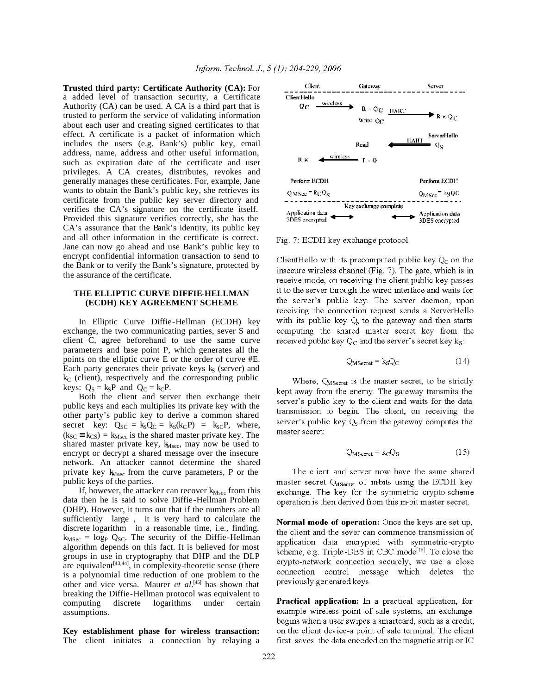**Trusted third party: Certificate Authority (CA):** For a added level of transaction security, a Certificate Authority (CA) can be used. A CA is a third part that is trusted to perform the service of validating information about each user and creating signed certificates to that effect. A certificate is a packet of information which includes the users (e.g. Bank's) public key, email address, name, address and other useful information, such as expiration date of the certificate and user privileges. A CA creates, distributes, revokes and generally manages these certificates. For, example, Jane wants to obtain the Bank's public key, she retrieves its certificate from the public key server directory and verifies the CA's signature on the certificate itself. Provided this signature verifies correctly, she has the CA's assurance that the Bank's identity, its public key and all other information in the certificate is correct. Jane can now go ahead and use Bank's public key to encrypt confidential information transaction to send to the Bank or to verify the Bank's signature, protected by the assurance of the certificate.

#### **THE ELLIPTIC CURVE DIFFIE-HELLMAN (ECDH) KEY AGREEMENT SCHEME**

In Elliptic Curve Diffie-Hellman (ECDH) key exchange, the two communicating parties, sever S and client C, agree beforehand to use the same curve parameters and base point P, which generates all the points on the elliptic curve E or the order of curve #E. Each party generates their private keys  $k<sub>S</sub>$  (server) and  $k<sub>C</sub>$  (client), respectively and the corresponding public keys:  $Q_S = k_S P$  and  $Q_C = k_C P$ .

Both the client and server then exchange their public keys and each multiplies its private key with the other party's public key to derive a common shared secret key:  $Q_{SC} = k_S Q_C = k_S (k_C P) = k_{SC} P$ , where,  $(k_{SC} \equiv k_{CS}) = k_{Msec}$  is the shared master private key. The shared master private key,  $k_{Msec}$ , may now be used to encrypt or decrypt a shared message over the insecure network. An attacker cannot determine the shared private key  $k_{Msec}$  from the curve parameters, P or the public keys of the parties.

If, however, the attacker can recover  $k_{Msec}$  from this data then he is said to solve Diffie-Hellman Problem (DHP). However, it turns out that if the numbers are all sufficiently large , it is very hard to calculate the discrete logarithm in a reasonable time, i.e., finding.  $k_{MSec}$  = log<sub>P</sub> Q<sub>SC</sub>. The security of the Diffie-Hellman algorithm depends on this fact. It is believed for most groups in use in cryptography that DHP and the DLP are equivalent<sup>[43,44]</sup>, in complexity-theoretic sense (there is a polynomial time reduction of one problem to the other and vice versa. Maurer *et al*. [45] has shown that breaking the Diffie-Hellman protocol was equivalent to computing discrete logarithms under certain assumptions.

**Key establishment phase for wireless transaction:** The client initiates a connection by relaying a



Fig. 7: ECDH key exchange protocol

ClientHello with its precomputed public key  $Q_C$  on the insecure wireless channel (Fig. 7). The gate, which is in receive mode, on receiving the client public key passes it to the server through the wired interface and waits for the server's public key. The server daemon, upon receiving the connection request sends a ServerHello with its public key  $Q<sub>s</sub>$  to the gateway and then starts computing the shared master secret key from the received public key  $Q_C$  and the server's secret key k<sub>s</sub>.

$$
Q_{MSecret} = k_S Q_C \tag{14}
$$

Where, Quisecret is the master secret, to be strictly kept away from the enemy. The gateway transmits the server's public key to the client and waits for the data transmission to begin. The client, on receiving the server's public key  $Q<sub>s</sub>$  from the gateway computes the master secret:

$$
Q_{MSecret} = k_C Q_S \tag{15}
$$

The client and server now have the same shared master secret Qusecret of mbits using the ECDH key exchange. The key for the symmetric crypto-scheme operation is then derived from this m-bit master secret.

**Normal mode of operation:** Once the keys are set up, the client and the sever can commence transmission of application data encrypted with symmetric-crypto scheme, e.g. Triple-DES in CBC mode<sup>[16]</sup>. To close the crypto-network connection securely, we use a close connection control message which deletes the previously generated keys.

**Practical application:** In a practical application, for example wireless point of sale systems, an exchange begins when a user swipes a smartcard, such as a credit, on the client device-a point of sale terminal. The client first saves the data encoded on the magnetic strip or IC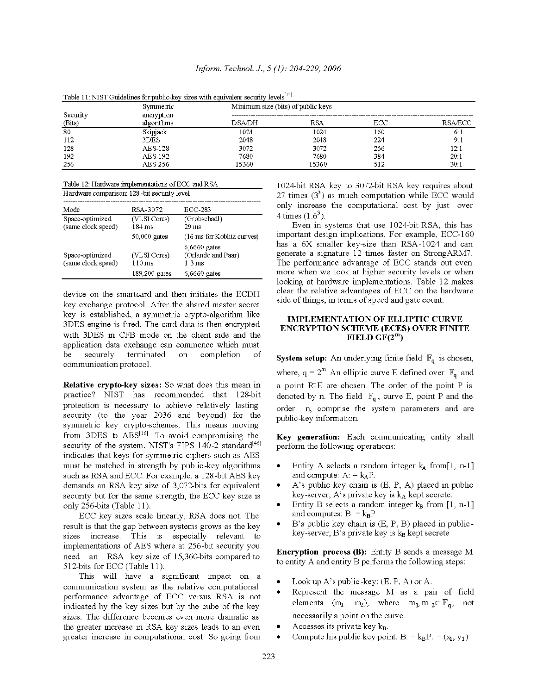Toble 11, MICT Cuidelines for mphis lieu air  $\sim$   $-$ 

|          | Symmetric      | Minimum size (bits) of public keys |            |     |                 |  |
|----------|----------------|------------------------------------|------------|-----|-----------------|--|
| Security | encryption     |                                    |            |     |                 |  |
| (Bits)   | algorithms     | DSA/DH                             | <b>RSA</b> | ECC | <b>RSA/ECC</b>  |  |
| 80       | Skipjack       | 1024                               | 1024       | 160 | 6:1             |  |
| 112      | 3DES           | 2048                               | 2048       | 224 | 9:1             |  |
| 128      | <b>AES 128</b> | 3072                               | 3072       | 256 | 12:1            |  |
| 192      | AES 192        | 7680                               | 7680       | 384 | 20:1            |  |
| 256      | AES 256        | 15360                              | 15360      | 512 | 30 <sub>1</sub> |  |

Table 12: Hardware implementations of ECC and RSA

| Hardware comparison: 128-bit security level |                                  |                                                           |  |  |  |  |
|---------------------------------------------|----------------------------------|-----------------------------------------------------------|--|--|--|--|
| Mode                                        | RSA-3072                         | ECC-283                                                   |  |  |  |  |
| Space-optimized<br>(same clock speed)       | (VLSI Cores)<br>$184 \text{ ms}$ | (Grobschadl)<br>$29 \text{ ms}$                           |  |  |  |  |
|                                             | $50,000$ gates                   | (16 ms for Koblitz curves)                                |  |  |  |  |
| Space-optimized<br>(same clock speed)       | (VLSI Cores)<br>$110 \text{ ms}$ | $6,6660$ gates<br>(Orlando and Paar)<br>1.3 <sub>ms</sub> |  |  |  |  |
|                                             | $189,200$ gates                  | $6,6660$ gates                                            |  |  |  |  |

device on the smartcard and then initiates the ECDH key exchange protocol. After the shared master secret key is established, a symmetric crypto-algorithm like 3DES engine is fired. The card data is then encrypted with 3DES in CFB mode on the client side and the application data exchange can commence which must be securely terminated on completion of communication protocol.

Relative crypto-key sizes: So what does this mean in practice? NIST has recommended that 128-bit protection is necessary to achieve relatively lasting security (to the year 2036 and beyond) for the symmetric key crypto-schemes. This means moving from 3DES to AES<sup>[16]</sup>. To avoid compromising the security of the system, NIST's FIPS 140-2 standard<sup>[46]</sup> indicates that keys for symmetric ciphers such as AES must be matched in strength by public-key algorithms such as RSA and ECC. For example, a 128-bit AES key demands an RSA key size of 3,072-bits for equivalent security but for the same strength, the ECC key size is only 256-bits (Table 11).

ECC key sizes scale linearly, RSA does not. The result is that the gap between systems grows as the key sizes increase. This is especially relevant to implementations of AES where at 256-bit security you need an RSA key size of 15,360-bits compared to 512-bits for ECC (Table 11).

This will have a significant impact on a communication system as the relative computational performance advantage of ECC versus RSA is not indicated by the key sizes but by the cube of the key sizes. The difference becomes even more dramatic as the greater increase in RSA key sizes leads to an even greater increase in computational cost. So going from

1024-bit RSA key to 3072-bit RSA key requires about 27 times  $(3^3)$  as much computation while ECC would only increase the computational cost by just over 4 times  $(1.6^3)$ .

Even in systems that use 1024-bit RSA, this has important design implications. For example, ECC-160 has a 6X smaller key-size than RSA-1024 and can generate a signature 12 times faster on StrongARM7. The performance advantage of ECC stands out even more when we look at higher security levels or when looking at hardware implementations. Table 12 makes clear the relative advantages of ECC on the hardware side of things, in terms of speed and gate count.

## **IMPLEMENTATION OF ELLIPTIC CURVE ENCRYPTION SCHEME (ECES) OVER FINITE** FIELD  $GF(2^m)$

**System setup:** An underlying finite field  $\mathbb{F}_q$  is chosen, where,  $q = 2^m$ . An elliptic curve E defined over  $\mathbb{F}_q$  and a point REE are chosen. The order of the point P is denoted by n. The field  $\mathbb{F}_q$ , curve E, point P and the order n, comprise the system parameters and are public-key information.

Key generation: Each communicating entity shall perform the following operations:

- Entity A selects a random integer  $k_A$  from[1, n-1] and compute:  $A = k_A P$ .
- A's public key chain is (E, P, A) placed in public key-server, A's private key is  $k_A$  kept secrete.
- Entity B selects a random integer  $k_B$  from [1, n-1] and computes:  $B = k_B P$ .
- B's public key chain is (E, P, B) placed in public- $\bullet$ key-server,  $B$ 's private key is  $k_B$  kept secrete

**Encryption process (B):** Entity B sends a message M to entity A and entity B performs the following steps:

- Look up A's public -key:  $(E, P, A)$  or A.
- Represent the message M as a pair of field elements  $(m_1, m_2)$ , where  $m_1, m_2 \in \mathbb{F}_q$ , not necessarily a point on the curve.
- Accesses its private key kB.
- Compute his public key point: B: =  $k_B P$ : =  $(x_1, y_1)$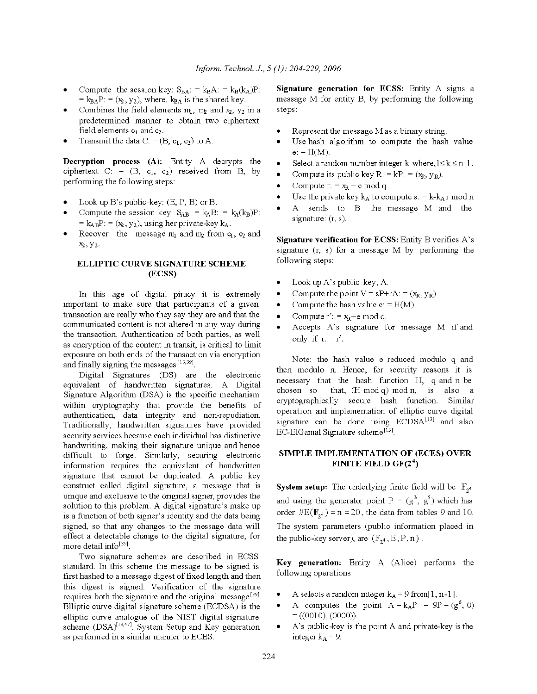- Compute the session key:  $S_{BA} = k_B A$ : =  $k_B(k_A)P$ :  $= k_{BA}P$ : = ( $x_2$ ,  $y_2$ ), where,  $k_{BA}$  is the shared key.
- Combines the field elements  $m_1$ ,  $m_2$  and  $x_2$ ,  $y_2$  in a predetermined manner to obtain two ciphertext field elements  $c_1$  and  $c_2$ .
- Transmit the data C: =  $(B, c_1, c_2)$  to A.

Decryption process (A): Entity A decrypts the ciphertext  $C: = (B, c_1, c_2)$  received from B, by performing the following steps:

- Look up B's public-key: (E, P, B) or B.
- Compute the session key:  $S_{AB}$ : =  $k_A B$ : =  $k_A(k_B)P$ : =  $k_{AB}P$ : = ( $x_2$ ,  $y_2$ ), using her private-key  $k_A$ .
- Recover the message  $m_1$  and  $m_2$  from  $c_1$ ,  $c_2$  and  $x_2, y_2.$

#### ELLIPTIC CURVE SIGNATURE SCHEME (ECSS)

In this age of digital piracy it is extremely important to make sure that participants of a given transaction are really who they say they are and that the communicated content is not altered in any way during the transaction. Authentication of both parties, as well as encryption of the content in transit, is critical to limit exposure on both ends of the transaction via encryption and finally signing the messages [13,39].

Digital Signatures (DS) are the electronic equivalent of handwritten signatures. A Digital Signature Algorithm (DSA) is the specific mechanism within cryptography that provide the benefits of authentication, data integrity and non-repudiation. Traditionally, handwritten signatures have provided security services because each individual has distinctive handwriting, making their signature unique and hence difficult to forge. Similarly, securing electronic information requires the equivalent of handwritten signature that cannot be duplicated. A public key construct called digital signature, a message that is unique and exclusive to the original signer, provides the solution to this problem. A digital signature's make up is a function of both signer's identity and the data being signed, so that any changes to the message data will effect a detectable change to the digital signature, for more detail info<sup>[39]</sup>.

Two signature schemes are described in ECSS standard. In this scheme the message to be signed is first hashed to a message digest of fixed length and then this digest is signed. Verification of the signature requires both the signature and the original message<sup>[39]</sup>. Elliptic curve digital signature scheme (ECDSA) is the elliptic curve analogue of the NIST digital signature scheme (DSA)<sup>[13,47]</sup>. System Setup and Key generation as performed in a similar manner to ECES.

Signature generation for ECSS: Entity A signs a message M for entity B, by performing the following steps:

- Represent the message M as a binary string.
- Use hash algorithm to compute the hash value  $e: = H(M)$ .
- Select a random number integer k where,  $1 \le k \le n-1$ .
- Compute its public key R: = kP: =  $(x_R, y_R)$ .
- Compute  $r = x_R + e \mod q$
- Use the private key  $k_A$  to compute s: =  $k-k_A r$  mod n
- sends to B the message M and the A signature:  $(r, s)$ .

**Signature verification for ECSS:** Entity B verifies A's signature  $(r, s)$  for a message M by performing the following steps:

- Look up A's public-key, A.
- Compute the point  $V = sP+rA$ : =  $(x_R, y_R)$  $\bullet$
- Compute the hash value  $e = H(M)$
- Compute  $r' = x_R + e \mod q$ .  $\bullet$
- Accepts A's signature for message M if and only if  $r = r'$ .

Note: the hash value e reduced modulo q and then modulo n. Hence, for security reasons it is necessary that the hash function H, q and n be that, (H mod q) mod n, is also a chosen so cryptographically secure hash function. Similar operation and implementation of elliptic curve digital signature can be done using ECDSA<sup>[13]</sup> and also EC-ElGamal Signature scheme<sup>[15]</sup>.

## SIMPLE IMPLEMENTATION OF (ECES) OVER FINITE FIELD  $GF(2^4)$

**System setup:** The underlying finite field will be  $\mathbb{F}_{2^4}$ and using the generator point  $P = (g^3, g^5)$  which has order  $\#E(\mathbb{F}_{2^4}) = n = 20$ , the data from tables 9 and 10. The system parameters (public information placed in the public-key server), are  $(\mathbb{F}_{2^4}, E, P, n)$ .

Key generation: Entity A (Alice) performs the following operations:

- A selects a random integer  $k_A = 9$  from [1, n-1].
- $\bullet$ A computes the point  $A = k_A P = 9P = (g^6, 0)$  $= ((0010), (0000)).$
- A's public-key is the point A and private-key is the integer  $k_A = 9$ .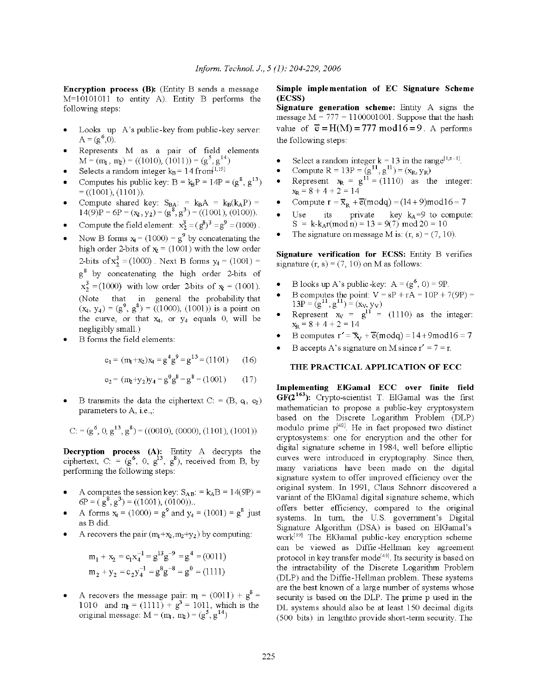Encryption process (B): (Entity B sends a message  $M=10101011$  to entity A). Entity B performs the following steps:

- Looks up A's public-key from public-key server:  $A = (g^0, 0).$
- Represents M as a pair of field elements  $M = (m_1, m_2) = ((1010), (1011)) = (g^5, g^{14})$
- Selects a random integer  $k_B = 14$  from  $1,191$
- Computes his public key:  $B = k_B P = 14P = (g^8, g^{13})$  $= ((1001), (1101))$
- Compute shared key:  $S_{BA}$ : =  $k_B A$  =  $k_B(k_A P)$  = 14(9)P = 6P =  $(x_2, y_2)$  =  $(g^8, g^3)$  = ((1001), (0100)).
- Compute the field element:  $x_2^3 = (g^8)^3 = g^9 = (1000)$ .
- Now B forms  $x_1 = (1000) = g^9$  by concatenating the high order 2-bits of  $x_2 = (1001)$  with the low order 2-bits of  $x_2^3$  = (1000). Next B forms  $y_4$  = (1001) = g<sup>8</sup> by concatenating the high order 2-bits of  $x_2^3 = (1000)$  with low order 2-bits of  $x_2 = (1001)$ . (Note that in general the probability that  $(x_4, y_4) = (g^9, g^8) = ((1000), (1001))$  is a point on the curve, or that  $x_4$ , or  $y_4$  equals 0, will be negligibly small.)
- B forms the field elements:

$$
c_1 = (m_1 + x_2)x_4 = g^4 g^9 = g^{13} = (1101)
$$
 (16)

$$
c_2 = (m_2 + y_2)y_4 = g^0 g^8 = g^8 = (1001) \tag{17}
$$

B transmits the data the ciphertext C: =  $(B, q, \varphi)$ parameters to A, i.e.,:

$$
C:=(g^6,\,0,\,g^{13},\,g^8)=((0010),\,(0000),\,(1101),\,(1001))
$$

**Decryption process (A):** Entity A decrypts the ciphertext, C: =  $(g^6, 0, g^{13}, g^8)$ , received from B, by performing the following steps:

- A computes the session key:  $S_{AB}$ : =  $k_{A}B$  = 14(9P) =  $6P = (g^8, g^3) = ((1001), (0100))$ .
- A forms  $x_1 = (1000) = g^9$  and  $y_4 = (1001) = g^8$  just as B did.
- A recovers the pair  $(m_1+x_2,m_2+y_2)$  by computing:

$$
m_1 + x_2 = c_1 x_4^{-1} = g^{13} g^{-9} = g^4 = (0011)
$$
  
\n
$$
m_2 + y_2 = c_2 y_4^{-1} = g^8 g^{-8} = g^0 = (1111)
$$

A recovers the message pair:  $m = (0011) + g^8 = 1010$  and  $m = (1111) + g^3 = 1011$ , which is the original message:  $M = (m_1, m_2) = (g^5, g^{14})$ 

## Simple implementation of EC Signature Scheme (ECSS)

Signature generation scheme: Entity A signs the message  $M = 777 = 1100001001$ . Suppose that the hash value of  $\bar{e} = H(M) = 777 \text{ mod } 16 = 9$ . A performs the following steps:

- 
- 
- Select a random integer  $k = 13$  in the range<sup>[1,n-1]</sup>.<br>Compute  $R = 13P = (g^{11}, g^{11}) = (x_R, y_R)$ <br>Represent  $x_R = g^{11} = (1110)$  as the integer:<br> $x_R = 8 + 4 + 2 = 14$
- Compute  $r = \overline{x}_R + \overline{e}(\text{mod}q) = (14 + 9)\text{mod}16 = 7$
- its private key  $k_A=9$  to compute: Use  $S = k-k_A r (mod n) = 13 = 9(7) mod 20 = 10$
- The signature on message M is:  $(r, s) = (7, 10)$ .

Signature verification for ECSS: Entity B verifies signature  $(r, s) = (7, 10)$  on M as follows:

- B looks up A's public-key:  $A = (g^6, 0) = 9P$ .
- B computes the point:  $V = sP + rA = 10P + 7(9P) = 13P = (g<sup>11</sup>, g<sup>11</sup>) = (x<sub>V</sub>, y<sub>V</sub>)$ <br>Represent  $x<sub>V</sub> = g<sup>11</sup> = (1110)$  as the integer:<br> $x<sub>R</sub> = 8 + 4 + 2 = 14$
- 
- B computes  $r' = \overline{x}_v + \overline{e} \text{ (modq)} = 14 + 9 \text{ mod } 16 = 7$
- B accepts A's signature on M since  $r' = 7 = r$ .

## THE PRACTICAL APPLICATION OF ECC

Implementing ElGamal ECC over finite field  $GF(2^{163})$ : Crypto-scientist T. ElGamal was the first mathematician to propose a public-key cryptosystem based on the Discrete Logarithm Problem (DLP) modulo prime  $p^{48}$ . He in fact proposed two distinct cryptosystems: one for encryption and the other for digital signature scheme in 1984, well before elliptic curves were introduced in cryptography. Since then, many variations have been made on the digital signature system to offer improved efficiency over the original system. In 1991, Claus Schnorr discovered a variant of the ElGamal digital signature scheme, which offers better efficiency, compared to the original systems. In turn, the U.S. government's Digital Signature Algorithm (DSA) is based on ElGamal's work[39] The ElGamal public-key encryption scheme can be viewed as Diffie-Hellman key agreement protocol in key transfer mode<sup>[49]</sup>. Its security is based on the intractability of the Discrete Logarithm Problem (DLP) and the Diffie-Hellman problem. These systems are the best known of a large number of systems whose security is based on the DLP. The prime p used in the DL systems should also be at least 150 decimal digits (500 bits) in lengthto provide short-term security. The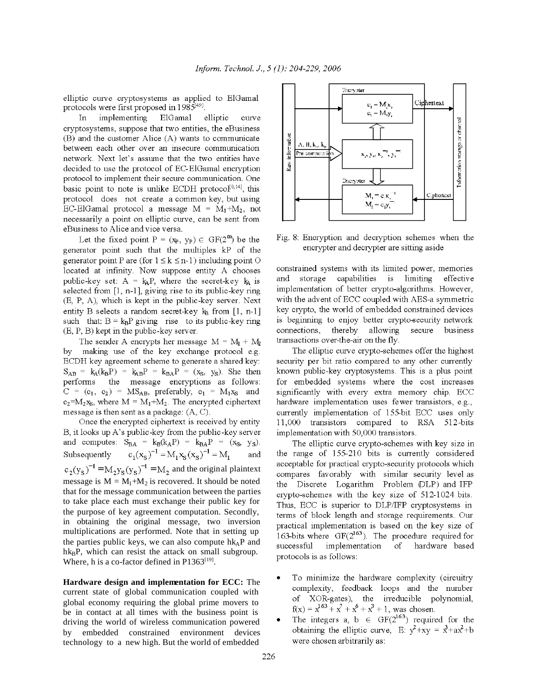elliptic curve cryptosystems as applied to ElGamal protocols were first proposed in 1985<sup>[49]</sup>.

implementing ElGamal elliptic In curve cryptosystems, suppose that two entities, the eBusiness  $(B)$  and the customer Alice  $(A)$  wants to communicate between each other over an insecure communication network. Next let's assume that the two entities have decided to use the protocol of EC-ElGamal encryption protocol to implement their secure communication. One basic point to note is unlike ECDH protocol<sup>[8,14]</sup>, this protocol does not create a common key, but using EC-ElGamal protocol a message  $M = M_1 + M_2$ , not necessarily a point on elliptic curve, can be sent from eBusiness to Alice and vice versa.

Let the fixed point  $P = (x_P, y_P) \in GF(2^m)$  be the generator point such that the multiples kP of the generator point P are (for  $1 \le k \le n-1$ ) including point O located at infinity. Now suppose entity A chooses public-key set:  $A = k_A P$ , where the secret-key  $k_A$  is selected from  $[1, n-1]$ , giving rise to its public-key ring (E, P, A), which is kept in the public-key server. Next entity B selects a random secret-key kg from [1, n-1] such that:  $B = k_B P$  giving rise to its public-key ring  $(E, P, B)$  kept in the public-key server.

The sender A encrypts her message  $M = M_1 + M_2$ by making use of the key exchange protocol e.g. ECDH key agreement scheme to generate a shared key:  $S_{AB} = k_A(k_B P) = k_{AB} P = k_{BA} P = (x_S, y_S)$ . She then performs the message encryptions as follows:  $C = (c_1, c_2) = MS_{AB}$ , preferably,  $c_1 = M_1x_S$  and  $c_2 = M_2$ <sub>Xs</sub>, where  $M = M_1 + M_2$ . The encrypted ciphertext message is then sent as a package:  $(A, C)$ .

Once the encrypted ciphertext is received by entity B, it looks up A's public-key from the public-key server and computes:  $S_{BA} = k_B(k_A P) = k_{BA} P = (x_S, y_S)$ .  $c_1(x_s)^{-1} = M_1 x_s (x_s)^{-1} = M_1$ Subsequently and  $c_2(y_8)^{-1} = M_2y_8(y_8)^{-1} = M_2$  and the original plaintext message is  $M = M_1 + M_2$  is recovered. It should be noted that for the message communication between the parties to take place each must exchange their public key for the purpose of key agreement computation. Secondly, in obtaining the original message, two inversion multiplications are performed. Note that in setting up the parties public keys, we can also compute hk<sub>A</sub>P and  $h k_B P$ , which can resist the attack on small subgroup. Where, h is a co-factor defined in  $P1363^{[19]}$ .

Hardware design and implementation for ECC: The current state of global communication coupled with global economy requiring the global prime movers to be in contact at all times with the business point is driving the world of wireless communication powered by embedded constrained environment devices technology to a new high. But the world of embedded



Fig. 8: Encryption and decryption schemes when the encrypter and decrypter are sitting aside

constrained systems with its limited power, memories and storage capabilities is limiting effective implementation of better crypto-algorithms. However, with the advent of ECC coupled with AES-a symmetric key crypto, the world of embedded constrained devices is beginning to enjoy better crypto-security network connections, thereby allowing secure business transactions over-the-air on the fly.

The elliptic curve crypto-schemes offer the highest security per bit ratio compared to any other currently known public-key cryptosystems. This is a plus point for embedded systems where the cost increases significantly with every extra memory chip. ECC hardware implementation uses fewer transistors, e.g., currently implementation of 155-bit ECC uses only 11,000 transistors compared to RSA 512-bits implementation with 50,000 transistors.

The elliptic curve crypto-schemes with key size in the range of 155-210 bits is currently considered acceptable for practical crypto-security protocols which compares favorably with similar security level as the Discrete Logarithm Problem (DLP) and IFP crypto-schemes with the key size of 512-1024 bits. Thus, ECC is superior to DLP/IFP cryptosystems in terms of block length and storage requirements. Our practical implementation is based on the key size of 163-bits where  $GF(2^{163})$ . The procedure required for successful implementation of hardware based protocols is as follows:

- To minimize the hardware complexity (circuitry complexity, feedback loops and the number of XOR-gates), the irreducible polynomial,  $f(x) = x^{163} + x^7 + x^6 + x^3 + 1$ , was chosen.
- The integers a, b  $\in$  GF(2<sup>163</sup>) required for the obtaining the elliptic curve, E:  $y^2+xy = x^3+ax^2+b$ were chosen arbitrarily as: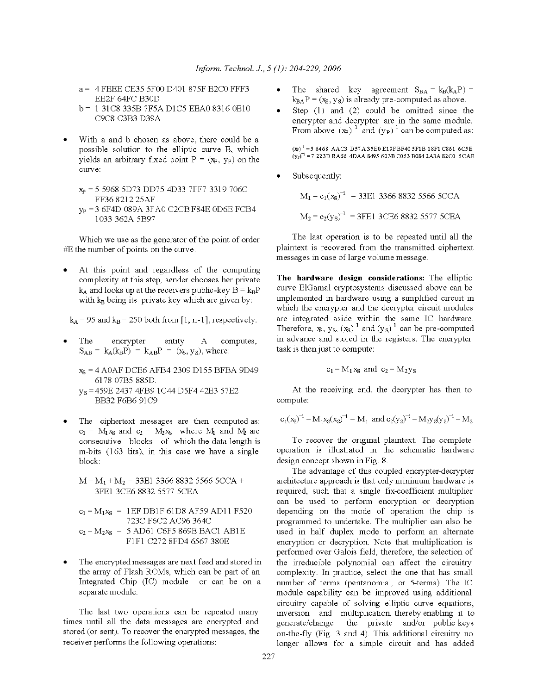- a = 4 FEEE CE35 5F00 D401 875F E2C0 FFF3 EE2F 64FC B30D
- b = 1 31C8 335B 7F5A D1C5 EEA0 8316 0E10 C9C8 C3B3 D39A
- With a and b chosen as above, there could be a possible solution to the elliptic curve E, which yields an arbitrary fixed point  $P = (x_P, y_P)$  on the curve:
	- $x_p = 559685D73DD754D337FF73319706C$ FF36821225AF
	- y<sub>p</sub> = 3 6F4D 089A 3FA0 C2CB F84E 0D6E FCB4 1033 362A 5B97

Which we use as the generator of the point of order #E the number of points on the curve.

At this point and regardless of the computing complexity at this step, sender chooses her private  $k_A$  and looks up at the receivers public-key  $B = k_B P$ with  $k_B$  being its private key which are given by:

 $k_A$  = 95 and  $k_B$  = 250 both from [1, n-1], respectively.

 $\mathbf A$ The encrypter entity computes,  $S_{AB} = k_A(k_B P) = k_{AB} P = (x_S, y_S)$ , where:

 $x_S = 4$  AOAF DCE6 AFB4 2309 D155 BFBA 9D49 6178 07B5 885D.

- y<sub>s</sub> = 459E 2437 4FB9 1C44 D5F4 42E3 57E2 BB32 F6B6 91C9
- The ciphertext messages are then computed as:  $c_1 = M_1x_S$  and  $c_2 = M_2x_S$  where  $M_1$  and  $M_2$  are consecutive blocks of which the data length is m-bits (163 bits), in this case we have a single block:

$$
M = M_1 + M_2 = 33E1 3366 8832 5566 5CCA + 3FE1 3CE6 8832 5577 5CEA
$$

$$
c_1 = M_1x_8 = 1EF DB1F 61D8 AF59 AD11 F520723C F6C2 AC96 364C
$$
c_2 = M_2x_8 = 5 AD61 CGF5 869E BAC1 AB1EF1F1 C272 RFD4 6567 380E
$$
$$

The encrypted messages are next feed and stored in the array of Flash ROMs, which can be part of an Integrated Chip (IC) module or can be on a separate module.

The last two operations can be repeated many times until all the data messages are encrypted and stored (or sent). To recover the encrypted messages, the receiver performs the following operations:

- The shared key agreement  $S_{BA} = k_B(k_A P) =$  $k_{BA}P = (x_S, y_S)$  is already pre-computed as above.
- Step  $(1)$  and  $(2)$  could be omitted since the encrypter and decrypter are in the same module.<br>From above  $(x_P)^{-1}$  and  $(y_P)^{-1}$  can be computed as:

 $(x_P)^{-1}$  = 5 6468 AAC3 D57A35E0 E19FBF40 5F1B 18F1 C861 6C5E  $(y_P)^{-1}$  = 7 223D BA66 4DAA 8495 603B C053 B084 2A3A 82C0 5CAE

Subsequently:

 $M_1 = c_1(x_8)^{-1}$  = 33E1 3366 8832 5566 5CCA  $M_2 = c_2(y_S)^{-1}$  = 3FE1 3CE6 8832 5577 5CEA

The last operation is to be repeated until all the plaintext is recovered from the transmitted ciphertext messages in case of large volume message.

The hardware design considerations: The elliptic curve ElGamal cryptosystems discussed above can be implemented in hardware using a simplified circuit in which the encrypter and the decrypter circuit modules are integrated aside within the same IC hardware.<br>Therefore,  $x_s$ ,  $y_s$ ,  $(x_s)^{-1}$  and  $(y_s)^{-1}$  can be pre-computed in advance and stored in the registers. The encrypter task is then just to compute:

$$
c_1 = M_1 x_S
$$
 and  $c_2 = M_2 y_S$ 

At the receiving end, the decrypter has then to compute:

$$
c_1(x_8)^{-1} = M_1x_8(x_8)^{-1} = M_1
$$
 and  $c_2(y_8)^{-1} = M_2y_8(y_8)^{-1} = M_2$ 

To recover the original plaintext. The complete operation is illustrated in the schematic hardware design concept shown in Fig. 8.

The advantage of this coupled encrypter-decrypter architecture approach is that only minimum hardware is required, such that a single fix-coefficient multiplier can be used to perform encryption or decryption depending on the mode of operation the chip is programmed to undertake. The multiplier can also be used in half duplex mode to perform an alternate encryption or decryption. Note that multiplication is performed over Galois field, therefore, the selection of the irreducible polynomial can affect the circuitry complexity. In practice, select the one that has small number of terms (pentanomial, or 5-terms). The IC module capability can be improved using additional circuitry capable of solving elliptic curve equations, inversion and multiplication, thereby enabling it to generate/change the private and/or public keys on-the-fly (Fig. 3 and 4). This additional circuitry no longer allows for a simple circuit and has added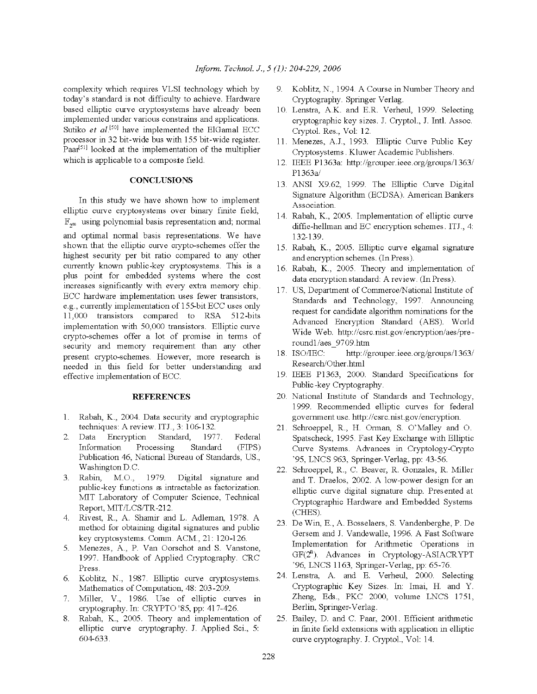complexity which requires VLSI technology which by today's standard is not difficulty to achieve. Hardware based elliptic curve cryptosystems have already been implemented under various constrains and applications. Sutiko et  $al^{[50]}$  have implemented the ElGamal ECC processor in 32 bit-wide bus with 155 bit-wide register. Paar<sup>[51]</sup> looked at the implementation of the multiplier which is applicable to a composite field.

#### **CONCLUSIONS**

In this study we have shown how to implement elliptic curve cryptosystems over binary finite field,  $\mathbb{F}_{2^m}$  using polynomial basis representation and; normal and optimal normal basis representations. We have shown that the elliptic curve crypto-schemes offer the highest security per bit ratio compared to any other currently known public-key cryptosystems. This is a plus point for embedded systems where the cost increases significantly with every extra memory chip. ECC hardware implementation uses fewer transistors, e.g., currently implementation of 155-bit ECC uses only 11,000 transistors compared to RSA 512-bits implementation with 50,000 transistors. Elliptic curve crypto-schemes offer a lot of promise in terms of security and memory requirement than any other present crypto-schemes. However, more research is needed in this field for better understanding and effective implementation of ECC.

#### **REFERENCES**

- $1.$ Rabah, K., 2004. Data security and cryptographic techniques: A review. ITJ., 3: 106-132.
- Encryption Standard, 1977.  $2^{\circ}$ Data Federal Information Processing Standard (FIPS) Publication 46, National Bureau of Standards, US., Washington D.C.
- Rabin, M.O., 1979. Digital signature and  $3<sub>1</sub>$ public-key functions as intractable as factorization. MIT Laboratory of Computer Science, Technical Report, MIT/LCS/TR-212.
- Rivest, R., A. Shamir and L. Adleman, 1978. A. 4. method for obtaining digital signatures and public key cryptosystems. Comm. ACM., 21: 120-126.
- Menezes, A., P. Van Oorschot and S. Vanstone, 5. 1997. Handbook of Applied Cryptography. CRC Press.
- 6. Koblitz, N., 1987. Elliptic curve cryptosystems. Mathematics of Computation, 48: 203-209.
- 7. Miller, V., 1986. Use of elliptic curves in cryptography. In: CRYPTO '85, pp: 417-426.
- Rabah, K., 2005. Theory and implementation of 8. elliptic curve cryptography. J. Applied Sci., 5: 604-633.
- 9. Koblitz, N., 1994. A Course in Number Theory and Cryptography. Springer Verlag.
- 10. Lenstra, A.K. and E.R. Verheul, 1999. Selecting cryptographic key sizes. J. Cryptol., J. Intl. Assoc. Cryptol. Res., Vol: 12.
- 11. Menezes, A.J., 1993. Elliptic Curve Public Key Cryptosystems. Kluwer Academic Publishers.
- 12. IEEE P1363a: http://grouper.ieee.org/groups/1363/ P1363a/
- 13. ANSI X9.62, 1999. The Elliptic Curve Digital Signature Algorithm (ECDSA). American Bankers Association.
- 14. Rabah, K., 2005. Implementation of elliptic curve diffie-hellman and EC encryption schemes. ITJ., 4: 132-139.
- 15. Rabah, K., 2005. Elliptic curve elgamal signature and encryption schemes. (In Press).
- 16. Rabah, K., 2005. Theory and implementation of data encryption standard: A review. (In Press).
- 17. US, Department of Commerce/National Institute of Standards and Technology, 1997. Announcing request for candidate algorithm nominations for the Advanced Encryption Standard (AES). World Wide Web. http://csrc.nist.gov/encryption/aes/preround1/aes 9709.htm
- 18. ISO/IEC: http://grouper.ieee.org/groups/1363/ Research/Other.html
- 19. IEEE P1363, 2000. Standard Specifications for Public-key Cryptography.
- 20. National Institute of Standards and Technology, 1999. Recommended elliptic curves for federal government use. http://csrc.nist.gov/encryption.
- 21. Schroeppel, R., H. Orman, S. O'Malley and O. Spatscheck, 1995. Fast Key Exchange with Elliptic Curve Systems. Advances in Cryptology-Crypto '95, LNCS 963, Springer-Verlag, pp: 43-56.
- 22. Schroeppel, R., C. Beaver, R. Gonzales, R. Miller and T. Draelos, 2002. A low-power design for an elliptic curve digital signature chip. Presented at Cryptographic Hardware and Embedded Systems (CHES).
- 23. De Win, E., A. Bosselaers, S. Vandenberghe, P. De Gersem and J. Vandewalle, 1996. A Fast Software Implementation for Arithmetic Operations in  $GF(2<sup>n</sup>)$ . Advances in Cryptology-ASIACRYPT '96, LNCS 1163, Springer-Verlag, pp. 65-76.
- 24. Lenstra, A. and E. Verheul, 2000. Selecting Cryptographic Key Sizes. In: Imai, H. and Y. Zheng, Eds., PKC 2000, volume LNCS 1751, Berlin, Springer-Verlag.
- 25. Bailey, D. and C. Paar, 2001. Efficient arithmetic in finite field extensions with application in elliptic curve cryptography. J. Cryptol., Vol: 14.